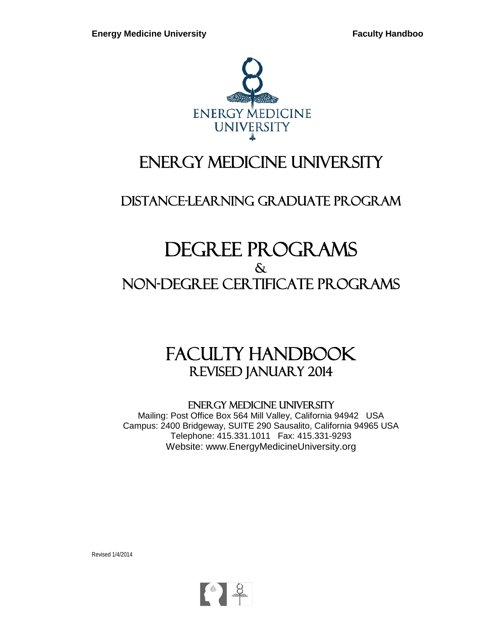

## Energy Medicine University

## Distance-Learning Graduate Program

## DEGREE PROGRAMS Non-Degree Certificate Programs

# FACULTY HANDBOOK<br>REVISED JANUARY 2014

#### Energy Medicine University

Mailing: Post Office Box 564 Mill Valley, California 94942 USA Campus: 2400 Bridgeway, SUITE 290 Sausalito, California 94965 USA Telephone: 415.331.1011 Fax: 415.331-9293 Website: [www.EnergyMedicineUniversity.org](http://www.energymedicineuniversity.org/)

Revised 1/4/2014

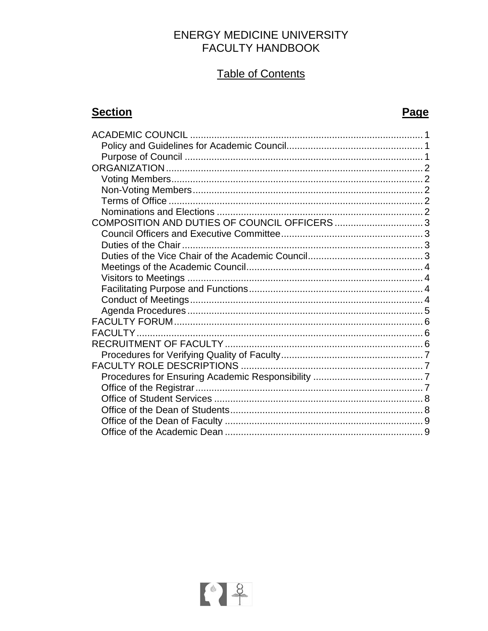### **ENERGY MEDICINE UNIVERSITY** FACULTY HANDBOOK

## **Table of Contents**

## **Section**

## Page

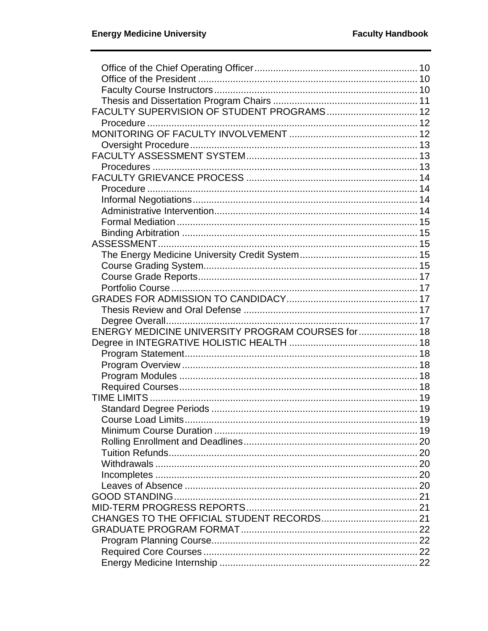| FACULTY SUPERVISION OF STUDENT PROGRAMS 12         |  |
|----------------------------------------------------|--|
|                                                    |  |
|                                                    |  |
|                                                    |  |
|                                                    |  |
|                                                    |  |
|                                                    |  |
|                                                    |  |
|                                                    |  |
|                                                    |  |
|                                                    |  |
|                                                    |  |
|                                                    |  |
|                                                    |  |
|                                                    |  |
|                                                    |  |
|                                                    |  |
|                                                    |  |
|                                                    |  |
|                                                    |  |
| ENERGY MEDICINE UNIVERSITY PROGRAM COURSES for  18 |  |
|                                                    |  |
|                                                    |  |
|                                                    |  |
|                                                    |  |
|                                                    |  |
|                                                    |  |
|                                                    |  |
|                                                    |  |
|                                                    |  |
|                                                    |  |
|                                                    |  |
|                                                    |  |
|                                                    |  |
|                                                    |  |
|                                                    |  |
|                                                    |  |
|                                                    |  |
|                                                    |  |
|                                                    |  |
|                                                    |  |
|                                                    |  |
|                                                    |  |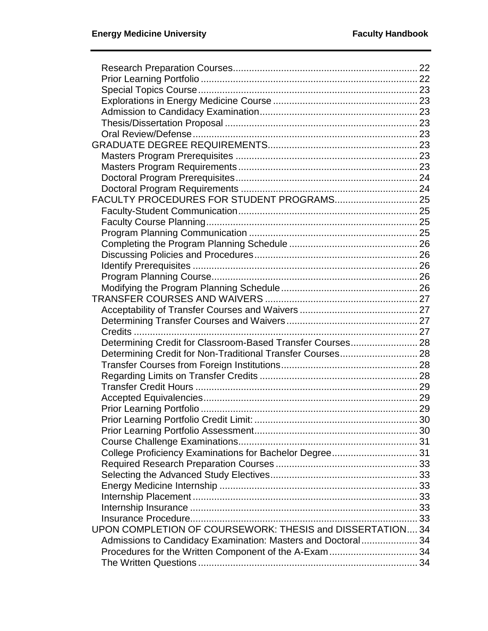| Determining Credit for Classroom-Based Transfer Courses 28   |  |
|--------------------------------------------------------------|--|
| Determining Credit for Non-Traditional Transfer Courses 28   |  |
|                                                              |  |
|                                                              |  |
|                                                              |  |
|                                                              |  |
|                                                              |  |
|                                                              |  |
|                                                              |  |
|                                                              |  |
| College Proficiency Examinations for Bachelor Degree 31      |  |
|                                                              |  |
|                                                              |  |
|                                                              |  |
|                                                              |  |
|                                                              |  |
|                                                              |  |
| UPON COMPLETION OF COURSEWORK: THESIS and DISSERTATION 34    |  |
| Admissions to Candidacy Examination: Masters and Doctoral 34 |  |
|                                                              |  |
|                                                              |  |
|                                                              |  |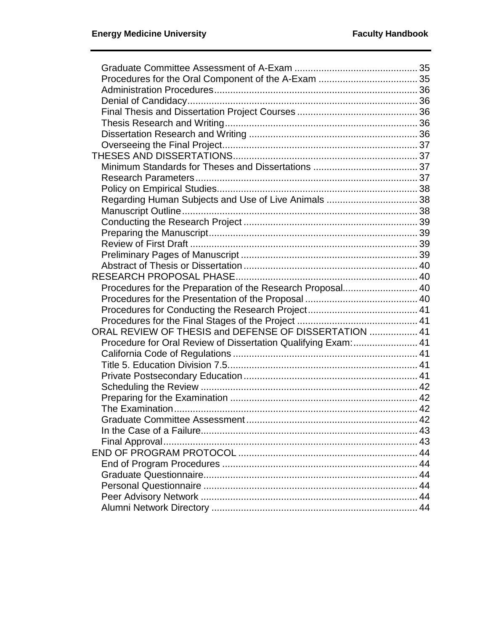| Procedures for the Preparation of the Research Proposal 40    |  |
|---------------------------------------------------------------|--|
|                                                               |  |
|                                                               |  |
|                                                               |  |
| ORAL REVIEW OF THESIS and DEFENSE OF DISSERTATION  41         |  |
| Procedure for Oral Review of Dissertation Qualifying Exam: 41 |  |
|                                                               |  |
|                                                               |  |
|                                                               |  |
|                                                               |  |
|                                                               |  |
|                                                               |  |
|                                                               |  |
|                                                               |  |
|                                                               |  |
|                                                               |  |
|                                                               |  |
|                                                               |  |
|                                                               |  |
|                                                               |  |
|                                                               |  |
|                                                               |  |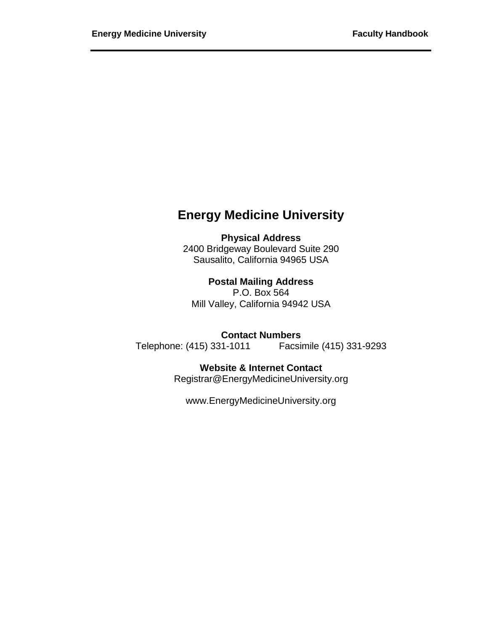## **Energy Medicine University**

#### **Physical Address** 2400 Bridgeway Boulevard Suite 290 Sausalito, California 94965 USA

#### **Postal Mailing Address**

P.O. Box 564 Mill Valley, California 94942 USA

**Contact Numbers**<br>11-1011 Facsimile (415) 331-9293 Telephone: (415) 331-1011

#### **Website & Internet Contact**

Registrar@EnergyMedicineUniversity.org

www.EnergyMedicineUniversity.org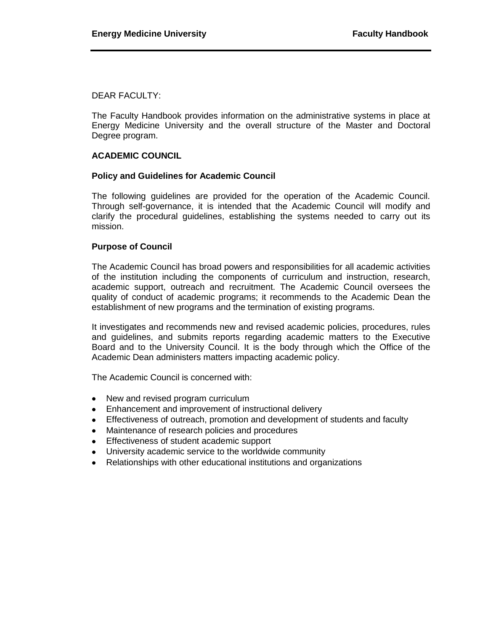#### DEAR FACULTY:

The Faculty Handbook provides information on the administrative systems in place at Energy Medicine University and the overall structure of the Master and Doctoral Degree program.

#### <span id="page-6-0"></span>**ACADEMIC COUNCIL**

#### <span id="page-6-1"></span>**Policy and Guidelines for Academic Council**

The following guidelines are provided for the operation of the Academic Council. Through self-governance, it is intended that the Academic Council will modify and clarify the procedural guidelines, establishing the systems needed to carry out its mission.

#### <span id="page-6-2"></span>**Purpose of Council**

The Academic Council has broad powers and responsibilities for all academic activities of the institution including the components of curriculum and instruction, research, academic support, outreach and recruitment. The Academic Council oversees the quality of conduct of academic programs; it recommends to the Academic Dean the establishment of new programs and the termination of existing programs.

It investigates and recommends new and revised academic policies, procedures, rules and guidelines, and submits reports regarding academic matters to the Executive Board and to the University Council. It is the body through which the Office of the Academic Dean administers matters impacting academic policy.

The Academic Council is concerned with:

- New and revised program curriculum
- Enhancement and improvement of instructional delivery
- Effectiveness of outreach, promotion and development of students and faculty
- Maintenance of research policies and procedures
- Effectiveness of student academic support
- University academic service to the worldwide community
- Relationships with other educational institutions and organizations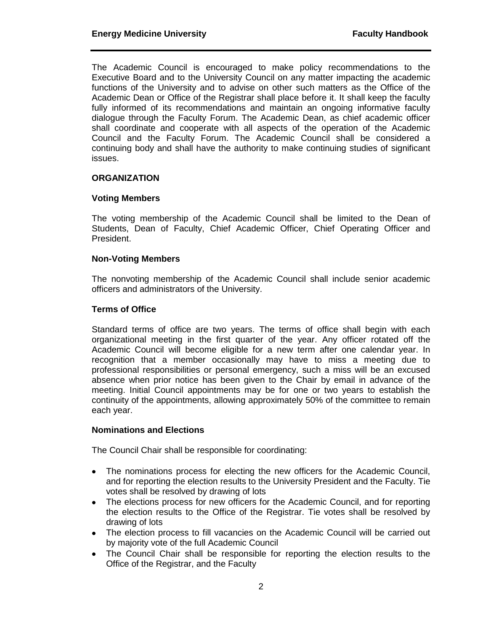The Academic Council is encouraged to make policy recommendations to the Executive Board and to the University Council on any matter impacting the academic functions of the University and to advise on other such matters as the Office of the Academic Dean or Office of the Registrar shall place before it. It shall keep the faculty fully informed of its recommendations and maintain an ongoing informative faculty dialogue through the Faculty Forum. The Academic Dean, as chief academic officer shall coordinate and cooperate with all aspects of the operation of the Academic Council and the Faculty Forum. The Academic Council shall be considered a continuing body and shall have the authority to make continuing studies of significant issues.

#### <span id="page-7-0"></span>**ORGANIZATION**

#### <span id="page-7-1"></span>**Voting Members**

The voting membership of the Academic Council shall be limited to the Dean of Students, Dean of Faculty, Chief Academic Officer, Chief Operating Officer and President.

#### <span id="page-7-2"></span>**Non-Voting Members**

The nonvoting membership of the Academic Council shall include senior academic officers and administrators of the University.

#### <span id="page-7-3"></span>**Terms of Office**

Standard terms of office are two years. The terms of office shall begin with each organizational meeting in the first quarter of the year. Any officer rotated off the Academic Council will become eligible for a new term after one calendar year. In recognition that a member occasionally may have to miss a meeting due to professional responsibilities or personal emergency, such a miss will be an excused absence when prior notice has been given to the Chair by email in advance of the meeting. Initial Council appointments may be for one or two years to establish the continuity of the appointments, allowing approximately 50% of the committee to remain each year.

#### <span id="page-7-4"></span>**Nominations and Elections**

The Council Chair shall be responsible for coordinating:

- The nominations process for electing the new officers for the Academic Council, and for reporting the election results to the University President and the Faculty. Tie votes shall be resolved by drawing of lots
- The elections process for new officers for the Academic Council, and for reporting the election results to the Office of the Registrar. Tie votes shall be resolved by drawing of lots
- The election process to fill vacancies on the Academic Council will be carried out by majority vote of the full Academic Council
- The Council Chair shall be responsible for reporting the election results to the Office of the Registrar, and the Faculty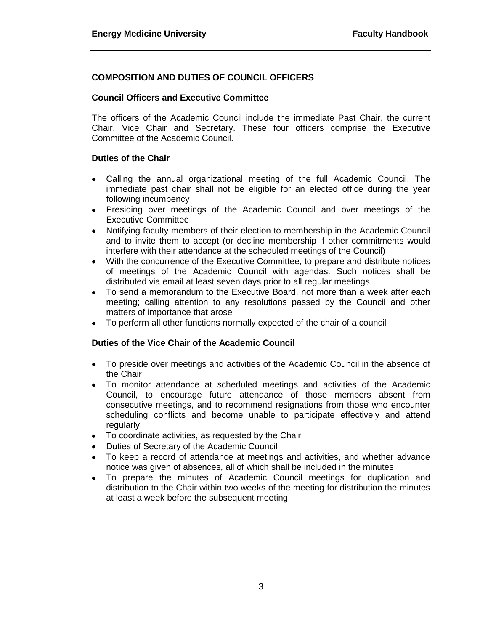#### <span id="page-8-0"></span>**COMPOSITION AND DUTIES OF COUNCIL OFFICERS**

#### <span id="page-8-1"></span>**Council Officers and Executive Committee**

The officers of the Academic Council include the immediate Past Chair, the current Chair, Vice Chair and Secretary. These four officers comprise the Executive Committee of the Academic Council.

#### <span id="page-8-2"></span>**Duties of the Chair**

- Calling the annual organizational meeting of the full Academic Council. The immediate past chair shall not be eligible for an elected office during the year following incumbency
- Presiding over meetings of the Academic Council and over meetings of the Executive Committee
- Notifying faculty members of their election to membership in the Academic Council and to invite them to accept (or decline membership if other commitments would interfere with their attendance at the scheduled meetings of the Council)
- With the concurrence of the Executive Committee, to prepare and distribute notices of meetings of the Academic Council with agendas. Such notices shall be distributed via email at least seven days prior to all regular meetings
- To send a memorandum to the Executive Board, not more than a week after each meeting; calling attention to any resolutions passed by the Council and other matters of importance that arose
- To perform all other functions normally expected of the chair of a council

#### <span id="page-8-3"></span>**Duties of the Vice Chair of the Academic Council**

- To preside over meetings and activities of the Academic Council in the absence of the Chair
- To monitor attendance at scheduled meetings and activities of the Academic Council, to encourage future attendance of those members absent from consecutive meetings, and to recommend resignations from those who encounter scheduling conflicts and become unable to participate effectively and attend regularly
- To coordinate activities, as requested by the Chair
- Duties of Secretary of the Academic Council
- To keep a record of attendance at meetings and activities, and whether advance notice was given of absences, all of which shall be included in the minutes
- To prepare the minutes of Academic Council meetings for duplication and distribution to the Chair within two weeks of the meeting for distribution the minutes at least a week before the subsequent meeting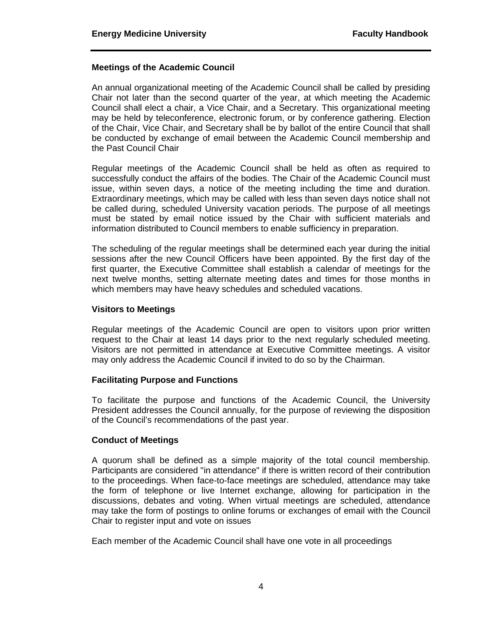#### <span id="page-9-0"></span>**Meetings of the Academic Council**

An annual organizational meeting of the Academic Council shall be called by presiding Chair not later than the second quarter of the year, at which meeting the Academic Council shall elect a chair, a Vice Chair, and a Secretary. This organizational meeting may be held by teleconference, electronic forum, or by conference gathering. Election of the Chair, Vice Chair, and Secretary shall be by ballot of the entire Council that shall be conducted by exchange of email between the Academic Council membership and the Past Council Chair

Regular meetings of the Academic Council shall be held as often as required to successfully conduct the affairs of the bodies. The Chair of the Academic Council must issue, within seven days, a notice of the meeting including the time and duration. Extraordinary meetings, which may be called with less than seven days notice shall not be called during, scheduled University vacation periods. The purpose of all meetings must be stated by email notice issued by the Chair with sufficient materials and information distributed to Council members to enable sufficiency in preparation.

The scheduling of the regular meetings shall be determined each year during the initial sessions after the new Council Officers have been appointed. By the first day of the first quarter, the Executive Committee shall establish a calendar of meetings for the next twelve months, setting alternate meeting dates and times for those months in which members may have heavy schedules and scheduled vacations.

#### <span id="page-9-1"></span>**Visitors to Meetings**

Regular meetings of the Academic Council are open to visitors upon prior written request to the Chair at least 14 days prior to the next regularly scheduled meeting. Visitors are not permitted in attendance at Executive Committee meetings. A visitor may only address the Academic Council if invited to do so by the Chairman.

#### <span id="page-9-2"></span>**Facilitating Purpose and Functions**

To facilitate the purpose and functions of the Academic Council, the University President addresses the Council annually, for the purpose of reviewing the disposition of the Council's recommendations of the past year.

#### <span id="page-9-3"></span>**Conduct of Meetings**

A quorum shall be defined as a simple majority of the total council membership. Participants are considered "in attendance" if there is written record of their contribution to the proceedings. When face-to-face meetings are scheduled, attendance may take the form of telephone or live Internet exchange, allowing for participation in the discussions, debates and voting. When virtual meetings are scheduled, attendance may take the form of postings to online forums or exchanges of email with the Council Chair to register input and vote on issues

Each member of the Academic Council shall have one vote in all proceedings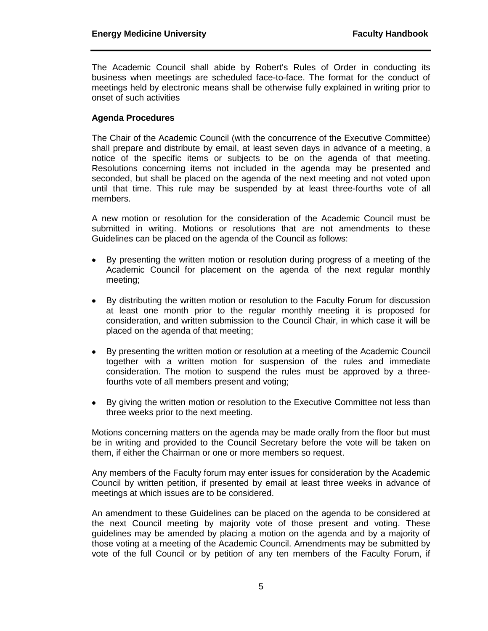The Academic Council shall abide by Robert's Rules of Order in conducting its business when meetings are scheduled face-to-face. The format for the conduct of meetings held by electronic means shall be otherwise fully explained in writing prior to onset of such activities

#### <span id="page-10-0"></span>**Agenda Procedures**

The Chair of the Academic Council (with the concurrence of the Executive Committee) shall prepare and distribute by email, at least seven days in advance of a meeting, a notice of the specific items or subjects to be on the agenda of that meeting. Resolutions concerning items not included in the agenda may be presented and seconded, but shall be placed on the agenda of the next meeting and not voted upon until that time. This rule may be suspended by at least three-fourths vote of all members.

A new motion or resolution for the consideration of the Academic Council must be submitted in writing. Motions or resolutions that are not amendments to these Guidelines can be placed on the agenda of the Council as follows:

- By presenting the written motion or resolution during progress of a meeting of the Academic Council for placement on the agenda of the next regular monthly meeting;
- By distributing the written motion or resolution to the Faculty Forum for discussion at least one month prior to the regular monthly meeting it is proposed for consideration, and written submission to the Council Chair, in which case it will be placed on the agenda of that meeting;
- By presenting the written motion or resolution at a meeting of the Academic Council together with a written motion for suspension of the rules and immediate consideration. The motion to suspend the rules must be approved by a threefourths vote of all members present and voting;
- By giving the written motion or resolution to the Executive Committee not less than three weeks prior to the next meeting.

Motions concerning matters on the agenda may be made orally from the floor but must be in writing and provided to the Council Secretary before the vote will be taken on them, if either the Chairman or one or more members so request.

Any members of the Faculty forum may enter issues for consideration by the Academic Council by written petition, if presented by email at least three weeks in advance of meetings at which issues are to be considered.

An amendment to these Guidelines can be placed on the agenda to be considered at the next Council meeting by majority vote of those present and voting. These guidelines may be amended by placing a motion on the agenda and by a majority of those voting at a meeting of the Academic Council. Amendments may be submitted by vote of the full Council or by petition of any ten members of the Faculty Forum, if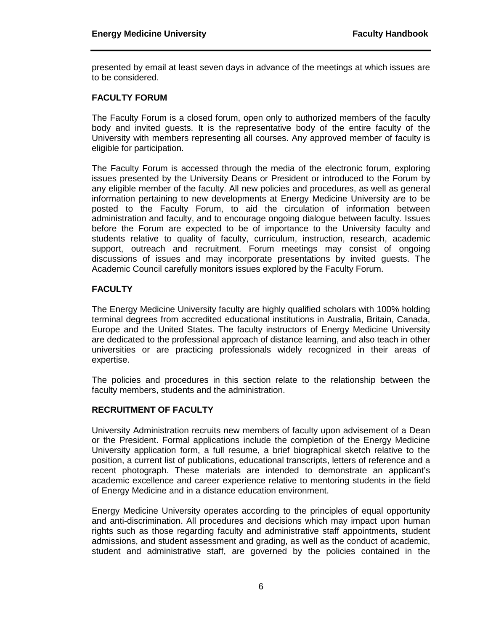presented by email at least seven days in advance of the meetings at which issues are to be considered.

#### <span id="page-11-0"></span>**FACULTY FORUM**

The Faculty Forum is a closed forum, open only to authorized members of the faculty body and invited guests. It is the representative body of the entire faculty of the University with members representing all courses. Any approved member of faculty is eligible for participation.

The Faculty Forum is accessed through the media of the electronic forum, exploring issues presented by the University Deans or President or introduced to the Forum by any eligible member of the faculty. All new policies and procedures, as well as general information pertaining to new developments at Energy Medicine University are to be posted to the Faculty Forum, to aid the circulation of information between administration and faculty, and to encourage ongoing dialogue between faculty. Issues before the Forum are expected to be of importance to the University faculty and students relative to quality of faculty, curriculum, instruction, research, academic support, outreach and recruitment. Forum meetings may consist of ongoing discussions of issues and may incorporate presentations by invited guests. The Academic Council carefully monitors issues explored by the Faculty Forum.

#### <span id="page-11-1"></span>**FACULTY**

The Energy Medicine University faculty are highly qualified scholars with 100% holding terminal degrees from accredited educational institutions in Australia, Britain, Canada, Europe and the United States. The faculty instructors of Energy Medicine University are dedicated to the professional approach of distance learning, and also teach in other universities or are practicing professionals widely recognized in their areas of expertise.

The policies and procedures in this section relate to the relationship between the faculty members, students and the administration.

#### <span id="page-11-2"></span>**RECRUITMENT OF FACULTY**

University Administration recruits new members of faculty upon advisement of a Dean or the President. Formal applications include the completion of the Energy Medicine University application form, a full resume, a brief biographical sketch relative to the position, a current list of publications, educational transcripts, letters of reference and a recent photograph. These materials are intended to demonstrate an applicant's academic excellence and career experience relative to mentoring students in the field of Energy Medicine and in a distance education environment.

Energy Medicine University operates according to the principles of equal opportunity and anti-discrimination. All procedures and decisions which may impact upon human rights such as those regarding faculty and administrative staff appointments, student admissions, and student assessment and grading, as well as the conduct of academic, student and administrative staff, are governed by the policies contained in the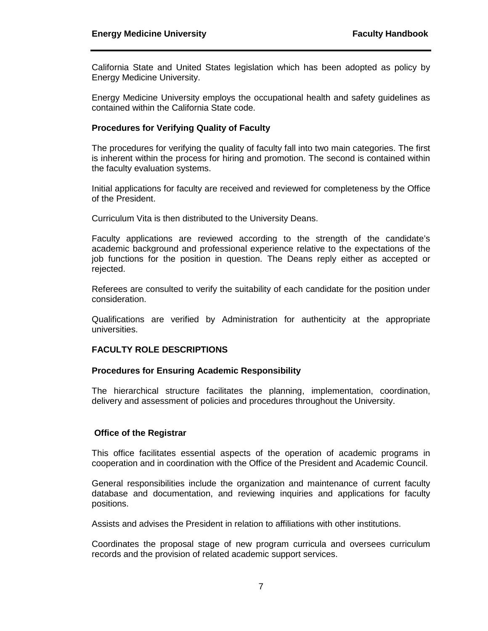California State and United States legislation which has been adopted as policy by Energy Medicine University.

Energy Medicine University employs the occupational health and safety guidelines as contained within the California State code.

#### <span id="page-12-0"></span>**Procedures for Verifying Quality of Faculty**

The procedures for verifying the quality of faculty fall into two main categories. The first is inherent within the process for hiring and promotion. The second is contained within the faculty evaluation systems.

Initial applications for faculty are received and reviewed for completeness by the Office of the President.

Curriculum Vita is then distributed to the University Deans.

Faculty applications are reviewed according to the strength of the candidate's academic background and professional experience relative to the expectations of the job functions for the position in question. The Deans reply either as accepted or rejected.

Referees are consulted to verify the suitability of each candidate for the position under consideration.

Qualifications are verified by Administration for authenticity at the appropriate universities.

#### <span id="page-12-1"></span>**FACULTY ROLE DESCRIPTIONS**

#### <span id="page-12-2"></span>**Procedures for Ensuring Academic Responsibility**

The hierarchical structure facilitates the planning, implementation, coordination, delivery and assessment of policies and procedures throughout the University.

#### <span id="page-12-3"></span>**Office of the Registrar**

This office facilitates essential aspects of the operation of academic programs in cooperation and in coordination with the Office of the President and Academic Council.

General responsibilities include the organization and maintenance of current faculty database and documentation, and reviewing inquiries and applications for faculty positions.

Assists and advises the President in relation to affiliations with other institutions.

Coordinates the proposal stage of new program curricula and oversees curriculum records and the provision of related academic support services.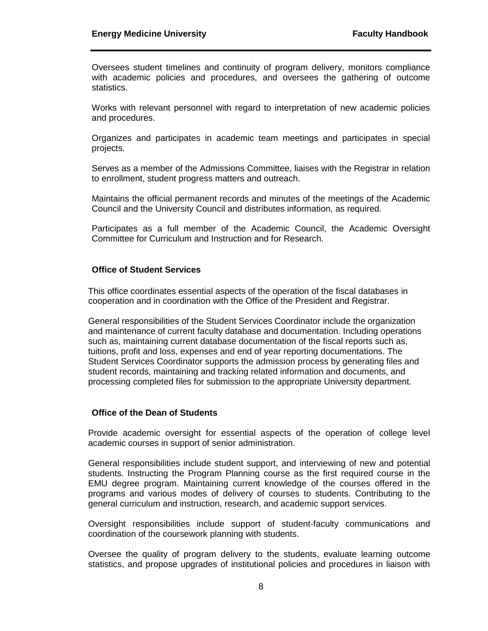Oversees student timelines and continuity of program delivery, monitors compliance with academic policies and procedures, and oversees the gathering of outcome statistics.

Works with relevant personnel with regard to interpretation of new academic policies and procedures.

Organizes and participates in academic team meetings and participates in special projects.

Serves as a member of the Admissions Committee, liaises with the Registrar in relation to enrollment, student progress matters and outreach.

Maintains the official permanent records and minutes of the meetings of the Academic Council and the University Council and distributes information, as required.

Participates as a full member of the Academic Council, the Academic Oversight Committee for Curriculum and Instruction and for Research.

#### <span id="page-13-0"></span>**Office of Student Services**

This office coordinates essential aspects of the operation of the fiscal databases in cooperation and in coordination with the Office of the President and Registrar.

General responsibilities of the Student Services Coordinator include the organization and maintenance of current faculty database and documentation. Including operations such as, maintaining current database documentation of the fiscal reports such as, tuitions, profit and loss, expenses and end of year reporting documentations. The Student Services Coordinator supports the admission process by generating files and student records, maintaining and tracking related information and documents, and processing completed files for submission to the appropriate University department.

#### <span id="page-13-1"></span>**Office of the Dean of Students**

Provide academic oversight for essential aspects of the operation of college level academic courses in support of senior administration.

General responsibilities include student support, and interviewing of new and potential students. Instructing the Program Planning course as the first required course in the EMU degree program. Maintaining current knowledge of the courses offered in the programs and various modes of delivery of courses to students. Contributing to the general curriculum and instruction, research, and academic support services.

Oversight responsibilities include support of student-faculty communications and coordination of the coursework planning with students.

Oversee the quality of program delivery to the students, evaluate learning outcome statistics, and propose upgrades of institutional policies and procedures in liaison with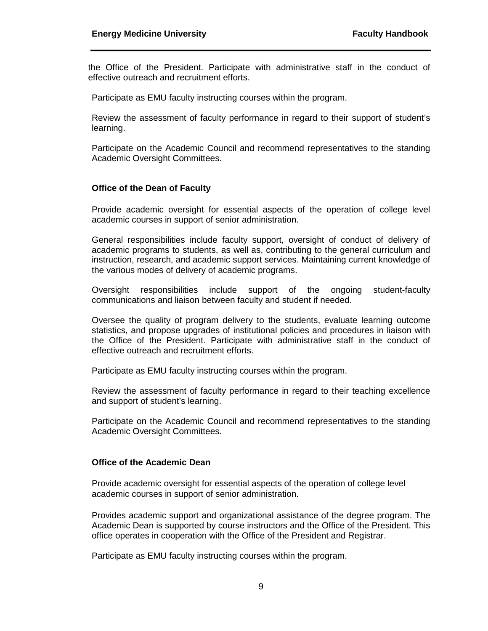the Office of the President. Participate with administrative staff in the conduct of effective outreach and recruitment efforts.

Participate as EMU faculty instructing courses within the program.

Review the assessment of faculty performance in regard to their support of student's learning.

Participate on the Academic Council and recommend representatives to the standing Academic Oversight Committees.

#### <span id="page-14-0"></span>**Office of the Dean of Faculty**

Provide academic oversight for essential aspects of the operation of college level academic courses in support of senior administration.

General responsibilities include faculty support, oversight of conduct of delivery of academic programs to students, as well as, contributing to the general curriculum and instruction, research, and academic support services. Maintaining current knowledge of the various modes of delivery of academic programs.

Oversight responsibilities include support of the ongoing student-faculty communications and liaison between faculty and student if needed.

Oversee the quality of program delivery to the students, evaluate learning outcome statistics, and propose upgrades of institutional policies and procedures in liaison with the Office of the President. Participate with administrative staff in the conduct of effective outreach and recruitment efforts.

Participate as EMU faculty instructing courses within the program.

Review the assessment of faculty performance in regard to their teaching excellence and support of student's learning.

Participate on the Academic Council and recommend representatives to the standing Academic Oversight Committees.

#### <span id="page-14-1"></span>**Office of the Academic Dean**

Provide academic oversight for essential aspects of the operation of college level academic courses in support of senior administration.

Provides academic support and organizational assistance of the degree program. The Academic Dean is supported by course instructors and the Office of the President. This office operates in cooperation with the Office of the President and Registrar.

Participate as EMU faculty instructing courses within the program.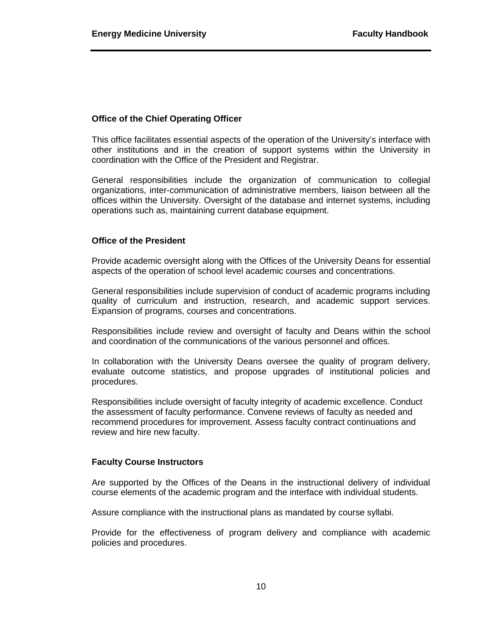#### <span id="page-15-0"></span>**Office of the Chief Operating Officer**

This office facilitates essential aspects of the operation of the University's interface with other institutions and in the creation of support systems within the University in coordination with the Office of the President and Registrar.

General responsibilities include the organization of communication to collegial organizations, inter-communication of administrative members, liaison between all the offices within the University. Oversight of the database and internet systems, including operations such as, maintaining current database equipment.

#### <span id="page-15-1"></span>**Office of the President**

Provide academic oversight along with the Offices of the University Deans for essential aspects of the operation of school level academic courses and concentrations.

General responsibilities include supervision of conduct of academic programs including quality of curriculum and instruction, research, and academic support services. Expansion of programs, courses and concentrations.

Responsibilities include review and oversight of faculty and Deans within the school and coordination of the communications of the various personnel and offices.

In collaboration with the University Deans oversee the quality of program delivery, evaluate outcome statistics, and propose upgrades of institutional policies and procedures.

Responsibilities include oversight of faculty integrity of academic excellence. Conduct the assessment of faculty performance. Convene reviews of faculty as needed and recommend procedures for improvement. Assess faculty contract continuations and review and hire new faculty.

#### <span id="page-15-2"></span>**Faculty Course Instructors**

Are supported by the Offices of the Deans in the instructional delivery of individual course elements of the academic program and the interface with individual students.

Assure compliance with the instructional plans as mandated by course syllabi.

Provide for the effectiveness of program delivery and compliance with academic policies and procedures.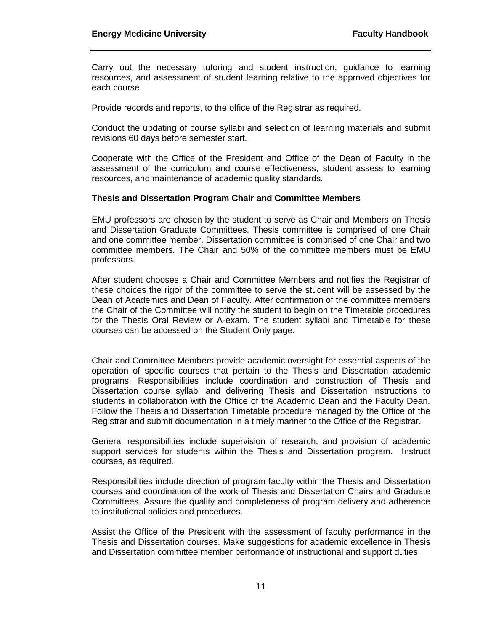Carry out the necessary tutoring and student instruction, guidance to learning resources, and assessment of student learning relative to the approved objectives for each course.

Provide records and reports, to the office of the Registrar as required.

Conduct the updating of course syllabi and selection of learning materials and submit revisions 60 days before semester start.

Cooperate with the Office of the President and Office of the Dean of Faculty in the assessment of the curriculum and course effectiveness, student assess to learning resources, and maintenance of academic quality standards.

#### <span id="page-16-0"></span>**Thesis and Dissertation Program Chair and Committee Members**

EMU professors are chosen by the student to serve as Chair and Members on Thesis and Dissertation Graduate Committees. Thesis committee is comprised of one Chair and one committee member. Dissertation committee is comprised of one Chair and two committee members. The Chair and 50% of the committee members must be EMU professors.

After student chooses a Chair and Committee Members and notifies the Registrar of these choices the rigor of the committee to serve the student will be assessed by the Dean of Academics and Dean of Faculty. After confirmation of the committee members the Chair of the Committee will notify the student to begin on the Timetable procedures for the Thesis Oral Review or A-exam. The student syllabi and Timetable for these courses can be accessed on the Student Only page.

Chair and Committee Members provide academic oversight for essential aspects of the operation of specific courses that pertain to the Thesis and Dissertation academic programs. Responsibilities include coordination and construction of Thesis and Dissertation course syllabi and delivering Thesis and Dissertation instructions to students in collaboration with the Office of the Academic Dean and the Faculty Dean. Follow the Thesis and Dissertation Timetable procedure managed by the Office of the Registrar and submit documentation in a timely manner to the Office of the Registrar.

General responsibilities include supervision of research, and provision of academic support services for students within the Thesis and Dissertation program. Instruct courses, as required.

Responsibilities include direction of program faculty within the Thesis and Dissertation courses and coordination of the work of Thesis and Dissertation Chairs and Graduate Committees. Assure the quality and completeness of program delivery and adherence to institutional policies and procedures.

Assist the Office of the President with the assessment of faculty performance in the Thesis and Dissertation courses. Make suggestions for academic excellence in Thesis and Dissertation committee member performance of instructional and support duties.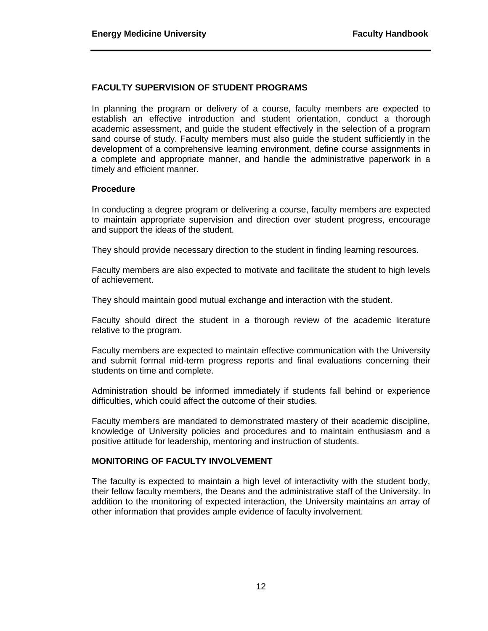#### <span id="page-17-0"></span>**FACULTY SUPERVISION OF STUDENT PROGRAMS**

In planning the program or delivery of a course, faculty members are expected to establish an effective introduction and student orientation, conduct a thorough academic assessment, and guide the student effectively in the selection of a program sand course of study. Faculty members must also guide the student sufficiently in the development of a comprehensive learning environment, define course assignments in a complete and appropriate manner, and handle the administrative paperwork in a timely and efficient manner.

#### <span id="page-17-1"></span>**Procedure**

In conducting a degree program or delivering a course, faculty members are expected to maintain appropriate supervision and direction over student progress, encourage and support the ideas of the student.

They should provide necessary direction to the student in finding learning resources.

Faculty members are also expected to motivate and facilitate the student to high levels of achievement.

They should maintain good mutual exchange and interaction with the student.

Faculty should direct the student in a thorough review of the academic literature relative to the program.

Faculty members are expected to maintain effective communication with the University and submit formal mid-term progress reports and final evaluations concerning their students on time and complete.

Administration should be informed immediately if students fall behind or experience difficulties, which could affect the outcome of their studies.

Faculty members are mandated to demonstrated mastery of their academic discipline, knowledge of University policies and procedures and to maintain enthusiasm and a positive attitude for leadership, mentoring and instruction of students.

#### <span id="page-17-2"></span>**MONITORING OF FACULTY INVOLVEMENT**

The faculty is expected to maintain a high level of interactivity with the student body, their fellow faculty members, the Deans and the administrative staff of the University. In addition to the monitoring of expected interaction, the University maintains an array of other information that provides ample evidence of faculty involvement.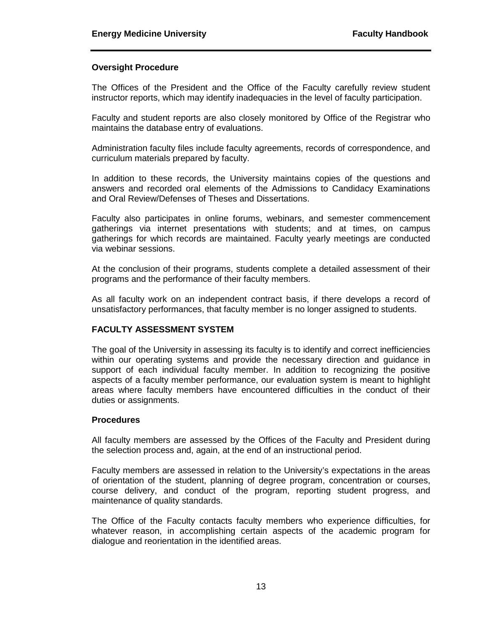#### <span id="page-18-0"></span>**Oversight Procedure**

The Offices of the President and the Office of the Faculty carefully review student instructor reports, which may identify inadequacies in the level of faculty participation.

Faculty and student reports are also closely monitored by Office of the Registrar who maintains the database entry of evaluations.

Administration faculty files include faculty agreements, records of correspondence, and curriculum materials prepared by faculty.

In addition to these records, the University maintains copies of the questions and answers and recorded oral elements of the Admissions to Candidacy Examinations and Oral Review/Defenses of Theses and Dissertations.

Faculty also participates in online forums, webinars, and semester commencement gatherings via internet presentations with students; and at times, on campus gatherings for which records are maintained. Faculty yearly meetings are conducted via webinar sessions.

At the conclusion of their programs, students complete a detailed assessment of their programs and the performance of their faculty members.

As all faculty work on an independent contract basis, if there develops a record of unsatisfactory performances, that faculty member is no longer assigned to students.

#### <span id="page-18-1"></span>**FACULTY ASSESSMENT SYSTEM**

The goal of the University in assessing its faculty is to identify and correct inefficiencies within our operating systems and provide the necessary direction and guidance in support of each individual faculty member. In addition to recognizing the positive aspects of a faculty member performance, our evaluation system is meant to highlight areas where faculty members have encountered difficulties in the conduct of their duties or assignments.

#### <span id="page-18-2"></span>**Procedures**

All faculty members are assessed by the Offices of the Faculty and President during the selection process and, again, at the end of an instructional period.

Faculty members are assessed in relation to the University's expectations in the areas of orientation of the student, planning of degree program, concentration or courses, course delivery, and conduct of the program, reporting student progress, and maintenance of quality standards.

The Office of the Faculty contacts faculty members who experience difficulties, for whatever reason, in accomplishing certain aspects of the academic program for dialogue and reorientation in the identified areas.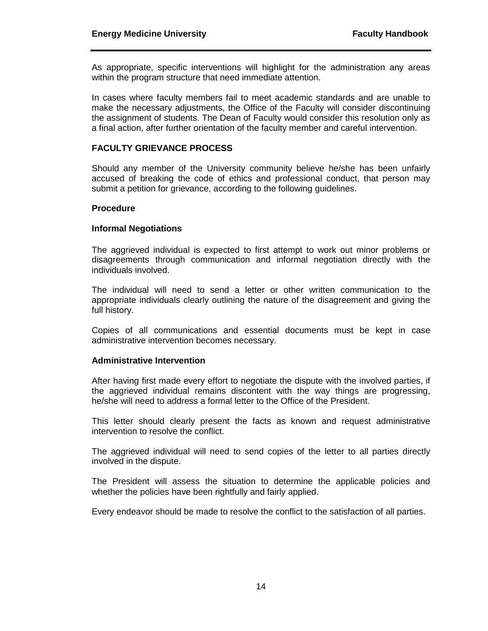As appropriate, specific interventions will highlight for the administration any areas within the program structure that need immediate attention.

In cases where faculty members fail to meet academic standards and are unable to make the necessary adjustments, the Office of the Faculty will consider discontinuing the assignment of students. The Dean of Faculty would consider this resolution only as a final action, after further orientation of the faculty member and careful intervention.

#### <span id="page-19-0"></span>**FACULTY GRIEVANCE PROCESS**

Should any member of the University community believe he/she has been unfairly accused of breaking the code of ethics and professional conduct, that person may submit a petition for grievance, according to the following guidelines.

#### <span id="page-19-1"></span>**Procedure**

#### <span id="page-19-2"></span>**Informal Negotiations**

The aggrieved individual is expected to first attempt to work out minor problems or disagreements through communication and informal negotiation directly with the individuals involved.

The individual will need to send a letter or other written communication to the appropriate individuals clearly outlining the nature of the disagreement and giving the full history.

Copies of all communications and essential documents must be kept in case administrative intervention becomes necessary.

#### <span id="page-19-3"></span>**Administrative Intervention**

After having first made every effort to negotiate the dispute with the involved parties, if the aggrieved individual remains discontent with the way things are progressing, he/she will need to address a formal letter to the Office of the President.

This letter should clearly present the facts as known and request administrative intervention to resolve the conflict.

The aggrieved individual will need to send copies of the letter to all parties directly involved in the dispute.

The President will assess the situation to determine the applicable policies and whether the policies have been rightfully and fairly applied.

Every endeavor should be made to resolve the conflict to the satisfaction of all parties.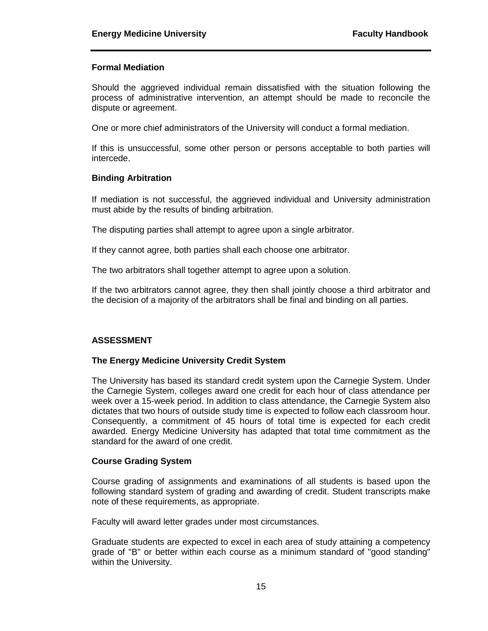#### <span id="page-20-0"></span>**Formal Mediation**

Should the aggrieved individual remain dissatisfied with the situation following the process of administrative intervention, an attempt should be made to reconcile the dispute or agreement.

One or more chief administrators of the University will conduct a formal mediation.

If this is unsuccessful, some other person or persons acceptable to both parties will intercede.

#### <span id="page-20-1"></span>**Binding Arbitration**

If mediation is not successful, the aggrieved individual and University administration must abide by the results of binding arbitration.

The disputing parties shall attempt to agree upon a single arbitrator.

If they cannot agree, both parties shall each choose one arbitrator.

The two arbitrators shall together attempt to agree upon a solution.

If the two arbitrators cannot agree, they then shall jointly choose a third arbitrator and the decision of a majority of the arbitrators shall be final and binding on all parties.

#### <span id="page-20-2"></span>**ASSESSMENT**

#### <span id="page-20-3"></span>**The Energy Medicine University Credit System**

The University has based its standard credit system upon the Carnegie System. Under the Carnegie System, colleges award one credit for each hour of class attendance per week over a 15-week period. In addition to class attendance, the Carnegie System also dictates that two hours of outside study time is expected to follow each classroom hour. Consequently, a commitment of 45 hours of total time is expected for each credit awarded. Energy Medicine University has adapted that total time commitment as the standard for the award of one credit.

#### <span id="page-20-4"></span>**Course Grading System**

Course grading of assignments and examinations of all students is based upon the following standard system of grading and awarding of credit. Student transcripts make note of these requirements, as appropriate.

Faculty will award letter grades under most circumstances.

Graduate students are expected to excel in each area of study attaining a competency grade of "B" or better within each course as a minimum standard of "good standing" within the University.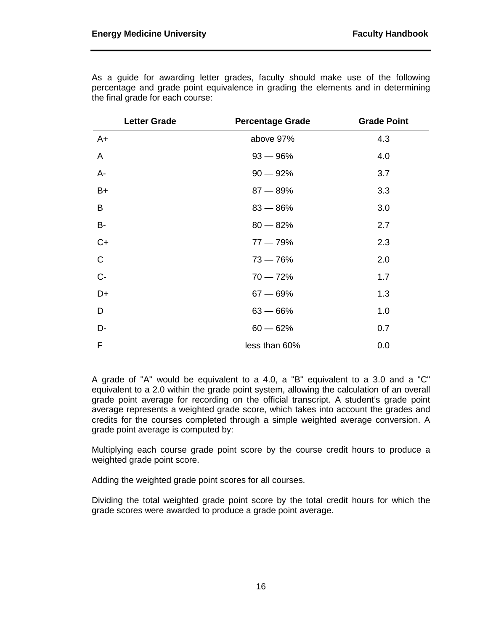As a guide for awarding letter grades, faculty should make use of the following percentage and grade point equivalence in grading the elements and in determining the final grade for each course:

| <b>Letter Grade</b> | <b>Percentage Grade</b> | <b>Grade Point</b> |
|---------------------|-------------------------|--------------------|
| $A+$                | above 97%               | 4.3                |
| A                   | $93 - 96%$              | 4.0                |
| A-                  | $90 - 92%$              | 3.7                |
| $B+$                | $87 - 89%$              | 3.3                |
| B                   | $83 - 86%$              | 3.0                |
| <b>B-</b>           | $80 - 82%$              | 2.7                |
| $C+$                | $77 - 79%$              | 2.3                |
| $\mathsf C$         | $73 - 76%$              | 2.0                |
| $C -$               | $70 - 72%$              | 1.7                |
| D+                  | $67 - 69%$              | 1.3                |
| D                   | $63 - 66%$              | 1.0                |
| D-                  | $60 - 62%$              | 0.7                |
| F                   | less than 60%           | 0.0                |

A grade of "A" would be equivalent to a 4.0, a "B" equivalent to a 3.0 and a "C" equivalent to a 2.0 within the grade point system, allowing the calculation of an overall grade point average for recording on the official transcript. A student's grade point average represents a weighted grade score, which takes into account the grades and credits for the courses completed through a simple weighted average conversion. A grade point average is computed by:

Multiplying each course grade point score by the course credit hours to produce a weighted grade point score.

Adding the weighted grade point scores for all courses.

Dividing the total weighted grade point score by the total credit hours for which the grade scores were awarded to produce a grade point average.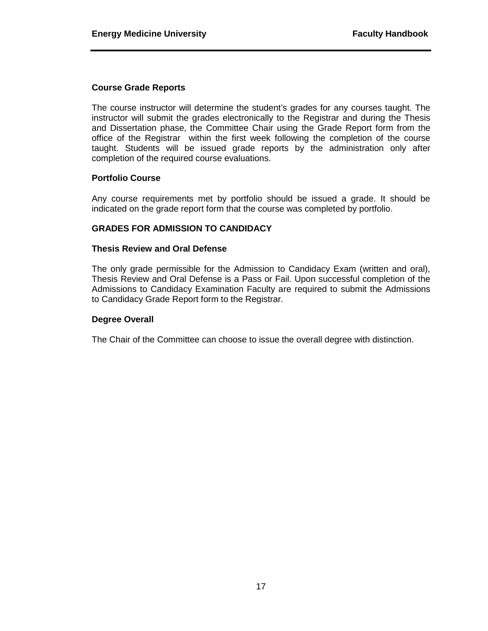#### <span id="page-22-0"></span>**Course Grade Reports**

The course instructor will determine the student's grades for any courses taught. The instructor will submit the grades electronically to the Registrar and during the Thesis and Dissertation phase, the Committee Chair using the [Grade Report](http://university.edu.nf/Faculty%20forms/grade%20report.pdf) form from the office of the Registrar within the first week following the completion of the course taught. Students will be issued grade reports by the administration only after completion of the required course evaluations.

#### <span id="page-22-1"></span>**Portfolio Course**

Any course requirements met by portfolio should be issued a grade. It should be indicated on the grade report form that the course was completed by portfolio.

#### <span id="page-22-2"></span>**GRADES FOR ADMISSION TO CANDIDACY**

#### <span id="page-22-3"></span>**Thesis Review and Oral Defense**

The only grade permissible for the Admission to Candidacy Exam (written and oral), Thesis Review and Oral Defense is a Pass or Fail. Upon successful completion of the Admissions to Candidacy Examination Faculty are required to submit the [Admissions](http://university.edu.nf/Faculty%20forms/Candidacy%20Report.PDF)  [to Candidacy Grade Report](http://university.edu.nf/Faculty%20forms/Candidacy%20Report.PDF) form to the Registrar.

#### <span id="page-22-4"></span>**Degree Overall**

The Chair of the Committee can choose to issue the overall degree with distinction.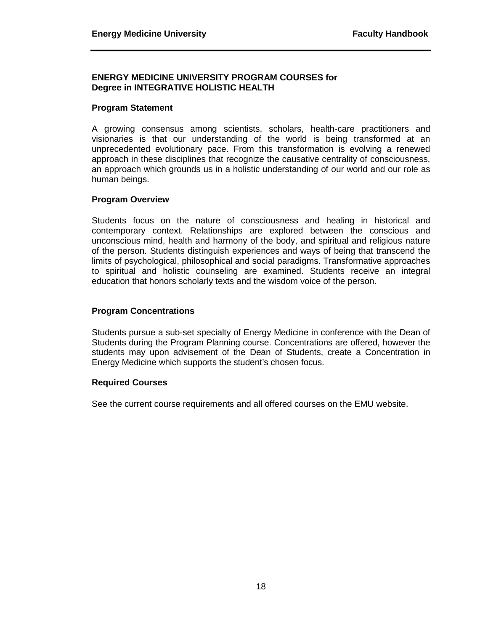#### <span id="page-23-1"></span><span id="page-23-0"></span>**ENERGY MEDICINE UNIVERSITY PROGRAM COURSES for Degree in INTEGRATIVE HOLISTIC HEALTH**

#### <span id="page-23-2"></span>**Program Statement**

A growing consensus among scientists, scholars, health-care practitioners and visionaries is that our understanding of the world is being transformed at an unprecedented evolutionary pace. From this transformation is evolving a renewed approach in these disciplines that recognize the causative centrality of consciousness, an approach which grounds us in a holistic understanding of our world and our role as human beings.

#### <span id="page-23-3"></span>**Program Overview**

Students focus on the nature of consciousness and healing in historical and contemporary context. Relationships are explored between the conscious and unconscious mind, health and harmony of the body, and spiritual and religious nature of the person. Students distinguish experiences and ways of being that transcend the limits of psychological, philosophical and social paradigms. Transformative approaches to spiritual and holistic counseling are examined. Students receive an integral education that honors scholarly texts and the wisdom voice of the person.

#### <span id="page-23-4"></span>**Program Concentrations**

Students pursue a sub-set specialty of Energy Medicine in conference with the Dean of Students during the Program Planning course. Concentrations are offered, however the students may upon advisement of the Dean of Students, create a Concentration in Energy Medicine which supports the student's chosen focus.

#### <span id="page-23-5"></span>**Required Courses**

See the current course requirements and all offered courses on the EMU website.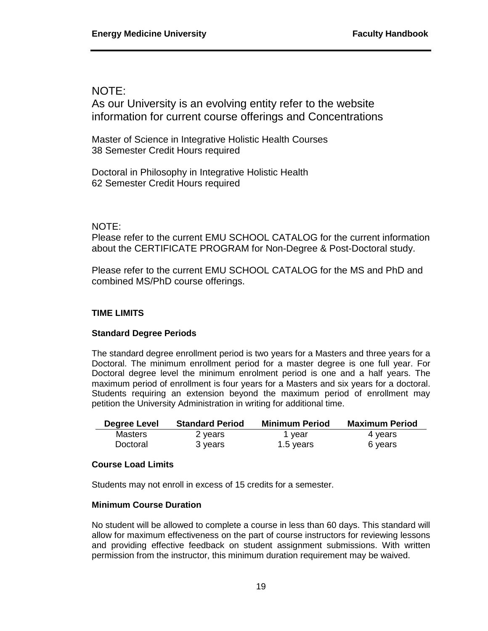#### NOTE:

As our University is an evolving entity refer to the website information for current course offerings and Concentrations

Master of Science in Integrative Holistic Health Courses 38 Semester Credit Hours required

Doctoral in Philosophy in Integrative Holistic Health 62 Semester Credit Hours required

#### NOTE:

Please refer to the current EMU SCHOOL CATALOG for the current information about the CERTIFICATE PROGRAM for Non-Degree & Post-Doctoral study.

Please refer to the current EMU SCHOOL CATALOG for the MS and PhD and combined MS/PhD course offerings.

#### <span id="page-24-0"></span>**TIME LIMITS**

#### <span id="page-24-1"></span>**Standard Degree Periods**

The standard degree enrollment period is two years for a Masters and three years for a Doctoral. The minimum enrollment period for a master degree is one full year. For Doctoral degree level the minimum enrolment period is one and a half years. The maximum period of enrollment is four years for a Masters and six years for a doctoral. Students requiring an extension beyond the maximum period of enrollment may petition the University Administration in writing for additional time.

| Degree Level | <b>Standard Period</b> | <b>Minimum Period</b> | <b>Maximum Period</b> |
|--------------|------------------------|-----------------------|-----------------------|
| Masters      | 2 years                | 1 year                | 4 years               |
| Doctoral     | 3 years                | 1.5 years             | 6 years               |

#### <span id="page-24-2"></span>**Course Load Limits**

Students may not enroll in excess of 15 credits for a semester.

#### <span id="page-24-3"></span>**Minimum Course Duration**

No student will be allowed to complete a course in less than 60 days. This standard will allow for maximum effectiveness on the part of course instructors for reviewing lessons and providing effective feedback on student assignment submissions. With written permission from the instructor, this minimum duration requirement may be waived.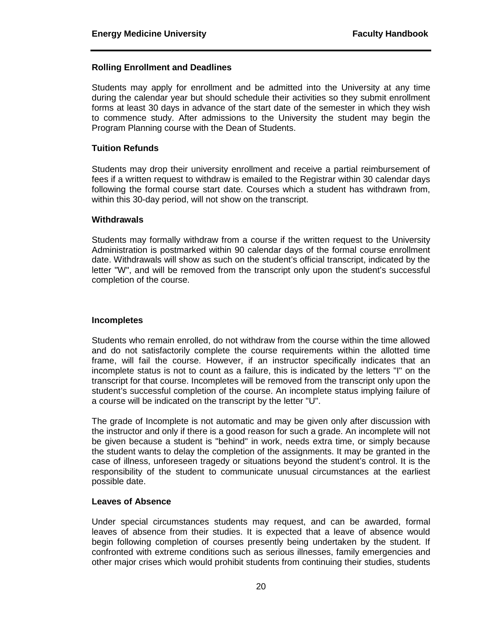#### <span id="page-25-0"></span>**Rolling Enrollment and Deadlines**

Students may apply for enrollment and be admitted into the University at any time during the calendar year but should schedule their activities so they submit enrollment forms at least 30 days in advance of the start date of the semester in which they wish to commence study. After admissions to the University the student may begin the Program Planning course with the Dean of Students.

#### <span id="page-25-1"></span>**Tuition Refunds**

Students may drop their university enrollment and receive a partial reimbursement of fees if a written request to withdraw is emailed to the Registrar within 30 calendar days following the formal course start date. Courses which a student has withdrawn from, within this 30-day period, will not show on the transcript.

#### <span id="page-25-2"></span>**Withdrawals**

Students may formally withdraw from a course if the written request to the University Administration is postmarked within 90 calendar days of the formal course enrollment date. Withdrawals will show as such on the student's official transcript, indicated by the letter "W", and will be removed from the transcript only upon the student's successful completion of the course.

#### <span id="page-25-3"></span>**Incompletes**

Students who remain enrolled, do not withdraw from the course within the time allowed and do not satisfactorily complete the course requirements within the allotted time frame, will fail the course. However, if an instructor specifically indicates that an incomplete status is not to count as a failure, this is indicated by the letters "I" on the transcript for that course. Incompletes will be removed from the transcript only upon the student's successful completion of the course. An incomplete status implying failure of a course will be indicated on the transcript by the letter "U".

The grade of Incomplete is not automatic and may be given only after discussion with the instructor and only if there is a good reason for such a grade. An incomplete will not be given because a student is "behind" in work, needs extra time, or simply because the student wants to delay the completion of the assignments. It may be granted in the case of illness, unforeseen tragedy or situations beyond the student's control. It is the responsibility of the student to communicate unusual circumstances at the earliest possible date.

#### <span id="page-25-4"></span>**Leaves of Absence**

Under special circumstances students may request, and can be awarded, formal leaves of absence from their studies. It is expected that a leave of absence would begin following completion of courses presently being undertaken by the student. If confronted with extreme conditions such as serious illnesses, family emergencies and other major crises which would prohibit students from continuing their studies, students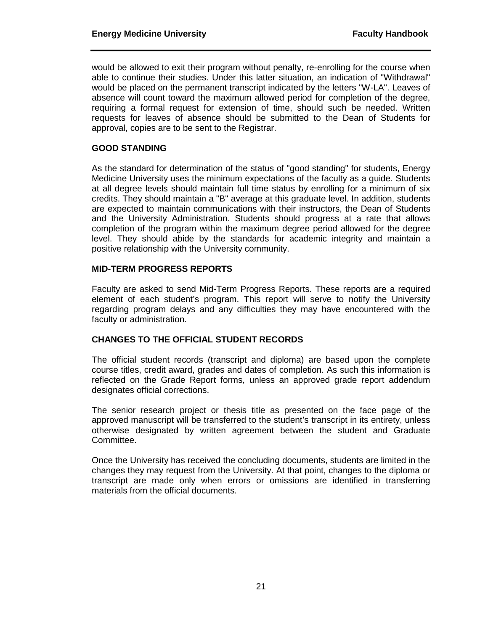would be allowed to exit their program without penalty, re-enrolling for the course when able to continue their studies. Under this latter situation, an indication of "Withdrawal" would be placed on the permanent transcript indicated by the letters "W-LA". Leaves of absence will count toward the maximum allowed period for completion of the degree, requiring a formal request for extension of time, should such be needed. Written requests for leaves of absence should be submitted to the Dean of Students for approval, copies are to be sent to the Registrar.

#### <span id="page-26-0"></span>**GOOD STANDING**

As the standard for determination of the status of "good standing" for students, Energy Medicine University uses the minimum expectations of the faculty as a guide. Students at all degree levels should maintain full time status by enrolling for a minimum of six credits. They should maintain a "B" average at this graduate level. In addition, students are expected to maintain communications with their instructors, the Dean of Students and the University Administration. Students should progress at a rate that allows completion of the program within the maximum degree period allowed for the degree level. They should abide by the standards for academic integrity and maintain a positive relationship with the University community.

#### <span id="page-26-1"></span>**MID-TERM PROGRESS REPORTS**

Faculty are asked to send Mid-Term Progress Reports. These reports are a required element of each student's program. This report will serve to notify the University regarding program delays and any difficulties they may have encountered with the faculty or administration.

#### <span id="page-26-2"></span>**CHANGES TO THE OFFICIAL STUDENT RECORDS**

The official student records (transcript and diploma) are based upon the complete course titles, credit award, grades and dates of completion. As such this information is reflected on the Grade Report forms, unless an approved grade report addendum designates official corrections.

The senior research project or thesis title as presented on the face page of the approved manuscript will be transferred to the student's transcript in its entirety, unless otherwise designated by written agreement between the student and Graduate Committee.

Once the University has received the concluding documents, students are limited in the changes they may request from the University. At that point, changes to the diploma or transcript are made only when errors or omissions are identified in transferring materials from the official documents.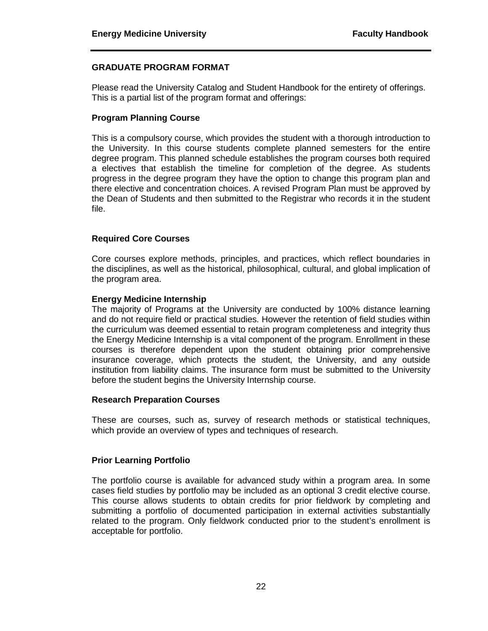#### <span id="page-27-0"></span>**GRADUATE PROGRAM FORMAT**

Please read the University Catalog and Student Handbook for the entirety of offerings. This is a partial list of the program format and offerings:

#### <span id="page-27-1"></span>**Program Planning Course**

This is a compulsory course, which provides the student with a thorough introduction to the University. In this course students complete planned semesters for the entire degree program. This planned schedule establishes the program courses both required a electives that establish the timeline for completion of the degree. As students progress in the degree program they have the option to change this program plan and there elective and concentration choices. A revised Program Plan must be approved by the Dean of Students and then submitted to the Registrar who records it in the student file.

#### <span id="page-27-2"></span>**Required Core Courses**

Core courses explore methods, principles, and practices, which reflect boundaries in the disciplines, as well as the historical, philosophical, cultural, and global implication of the program area.

#### <span id="page-27-3"></span>**Energy Medicine Internship**

The majority of Programs at the University are conducted by 100% distance learning and do not require field or practical studies. However the retention of field studies within the curriculum was deemed essential to retain program completeness and integrity thus the Energy Medicine Internship is a vital component of the program. Enrollment in these courses is therefore dependent upon the student obtaining prior comprehensive insurance coverage, which protects the student, the University, and any outside institution from liability claims. The insurance form must be submitted to the University before the student begins the University Internship course.

#### <span id="page-27-4"></span>**Research Preparation Courses**

These are courses, such as, survey of research methods or statistical techniques, which provide an overview of types and techniques of research.

#### <span id="page-27-5"></span>**Prior Learning Portfolio**

The portfolio course is available for advanced study within a program area. In some cases field studies by portfolio may be included as an optional 3 credit elective course. This course allows students to obtain credits for prior fieldwork by completing and submitting a portfolio of documented participation in external activities substantially related to the program. Only fieldwork conducted prior to the student's enrollment is acceptable for portfolio.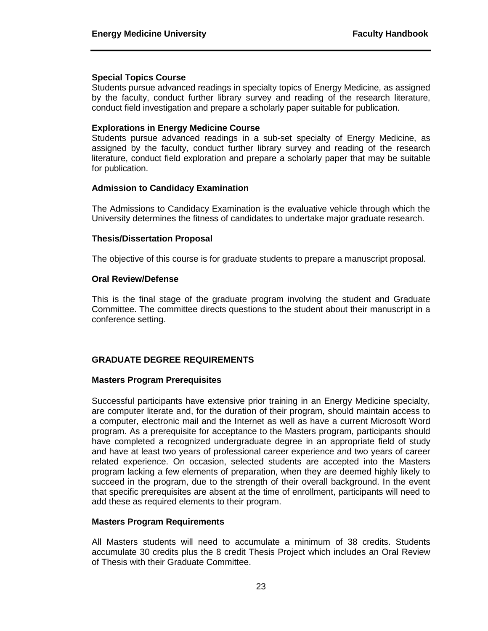#### <span id="page-28-0"></span>**Special Topics Course**

Students pursue advanced readings in specialty topics of Energy Medicine, as assigned by the faculty, conduct further library survey and reading of the research literature, conduct field investigation and prepare a scholarly paper suitable for publication.

#### <span id="page-28-1"></span>**Explorations in Energy Medicine Course**

Students pursue advanced readings in a sub-set specialty of Energy Medicine, as assigned by the faculty, conduct further library survey and reading of the research literature, conduct field exploration and prepare a scholarly paper that may be suitable for publication.

#### <span id="page-28-2"></span>**Admission to Candidacy Examination**

The Admissions to Candidacy Examination is the evaluative vehicle through which the University determines the fitness of candidates to undertake major graduate research.

#### <span id="page-28-3"></span>**Thesis/Dissertation Proposal**

The objective of this course is for graduate students to prepare a manuscript proposal.

#### <span id="page-28-4"></span>**Oral Review/Defense**

This is the final stage of the graduate program involving the student and Graduate Committee. The committee directs questions to the student about their manuscript in a conference setting.

#### <span id="page-28-5"></span>**GRADUATE DEGREE REQUIREMENTS**

#### <span id="page-28-6"></span>**Masters Program Prerequisites**

Successful participants have extensive prior training in an Energy Medicine specialty, are computer literate and, for the duration of their program, should maintain access to a computer, electronic mail and the Internet as well as have a current Microsoft Word program. As a prerequisite for acceptance to the Masters program, participants should have completed a recognized undergraduate degree in an appropriate field of study and have at least two years of professional career experience and two years of career related experience. On occasion, selected students are accepted into the Masters program lacking a few elements of preparation, when they are deemed highly likely to succeed in the program, due to the strength of their overall background. In the event that specific prerequisites are absent at the time of enrollment, participants will need to add these as required elements to their program.

#### <span id="page-28-7"></span>**Masters Program Requirements**

All Masters students will need to accumulate a minimum of 38 credits. Students accumulate 30 credits plus the 8 credit Thesis Project which includes an Oral Review of Thesis with their Graduate Committee.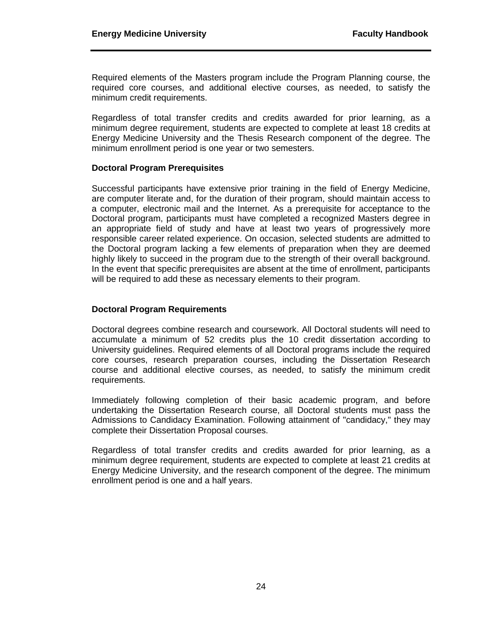Required elements of the Masters program include the Program Planning course, the required core courses, and additional elective courses, as needed, to satisfy the minimum credit requirements.

Regardless of total transfer credits and credits awarded for prior learning, as a minimum degree requirement, students are expected to complete at least 18 credits at Energy Medicine University and the Thesis Research component of the degree. The minimum enrollment period is one year or two semesters.

#### <span id="page-29-0"></span>**Doctoral Program Prerequisites**

Successful participants have extensive prior training in the field of Energy Medicine, are computer literate and, for the duration of their program, should maintain access to a computer, electronic mail and the Internet. As a prerequisite for acceptance to the Doctoral program, participants must have completed a recognized Masters degree in an appropriate field of study and have at least two years of progressively more responsible career related experience. On occasion, selected students are admitted to the Doctoral program lacking a few elements of preparation when they are deemed highly likely to succeed in the program due to the strength of their overall background. In the event that specific prerequisites are absent at the time of enrollment, participants will be required to add these as necessary elements to their program.

#### <span id="page-29-1"></span>**Doctoral Program Requirements**

Doctoral degrees combine research and coursework. All Doctoral students will need to accumulate a minimum of 52 credits plus the 10 credit dissertation according to University guidelines. Required elements of all Doctoral programs include the required core courses, research preparation courses, including the Dissertation Research course and additional elective courses, as needed, to satisfy the minimum credit requirements.

Immediately following completion of their basic academic program, and before undertaking the Dissertation Research course, all Doctoral students must pass the Admissions to Candidacy Examination. Following attainment of "candidacy," they may complete their Dissertation Proposal courses.

Regardless of total transfer credits and credits awarded for prior learning, as a minimum degree requirement, students are expected to complete at least 21 credits at Energy Medicine University, and the research component of the degree. The minimum enrollment period is one and a half years.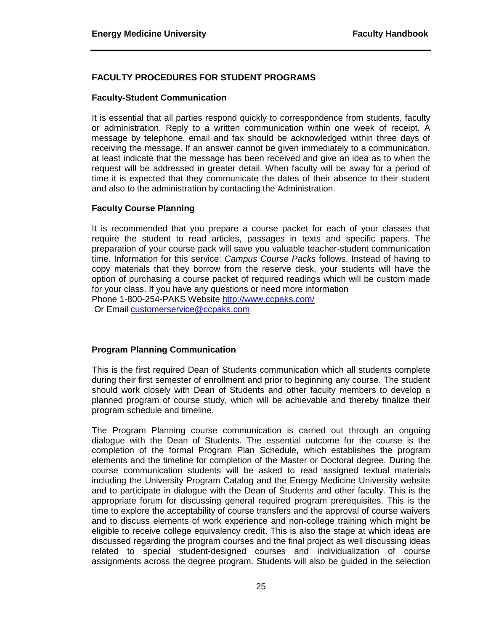#### <span id="page-30-0"></span>**FACULTY PROCEDURES FOR STUDENT PROGRAMS**

#### <span id="page-30-1"></span>**Faculty-Student Communication**

It is essential that all parties respond quickly to correspondence from students, faculty or administration. Reply to a written communication within one week of receipt. A message by telephone, email and fax should be acknowledged within three days of receiving the message. If an answer cannot be given immediately to a communication, at least indicate that the message has been received and give an idea as to when the request will be addressed in greater detail. When faculty will be away for a period of time it is expected that they communicate the dates of their absence to their student and also to the administration by contacting the Administration.

#### <span id="page-30-2"></span>**Faculty Course Planning**

It is recommended that you prepare a course packet for each of your classes that require the student to read articles, passages in texts and specific papers. The preparation of your course pack will save you valuable teacher-student communication time. Information for this service: *Campus Course Packs* follows. Instead of having to copy materials that they borrow from the reserve desk, your students will have the option of purchasing a course packet of required readings which will be custom made for your class. If you have any questions or need more information Phone 1-800-254-PAKS Website<http://www.ccpaks.com/>

Or Email [customerservice@ccpaks.com](mailto:customerservice@ccpaks.com)

#### <span id="page-30-3"></span>**Program Planning Communication**

This is the first required Dean of Students communication which all students complete during their first semester of enrollment and prior to beginning any course. The student should work closely with Dean of Students and other faculty members to develop a planned program of course study, which will be achievable and thereby finalize their program schedule and timeline.

The Program Planning course communication is carried out through an ongoing dialogue with the Dean of Students. The essential outcome for the course is the completion of the formal Program Plan Schedule, which establishes the program elements and the timeline for completion of the Master or Doctoral degree. During the course communication students will be asked to read assigned textual materials including the University Program Catalog and the Energy Medicine University website and to participate in dialogue with the Dean of Students and other faculty. This is the appropriate forum for discussing general required program prerequisites. This is the time to explore the acceptability of course transfers and the approval of course waivers and to discuss elements of work experience and non-college training which might be eligible to receive college equivalency credit. This is also the stage at which ideas are discussed regarding the program courses and the final project as well discussing ideas related to special student-designed courses and individualization of course assignments across the degree program. Students will also be guided in the selection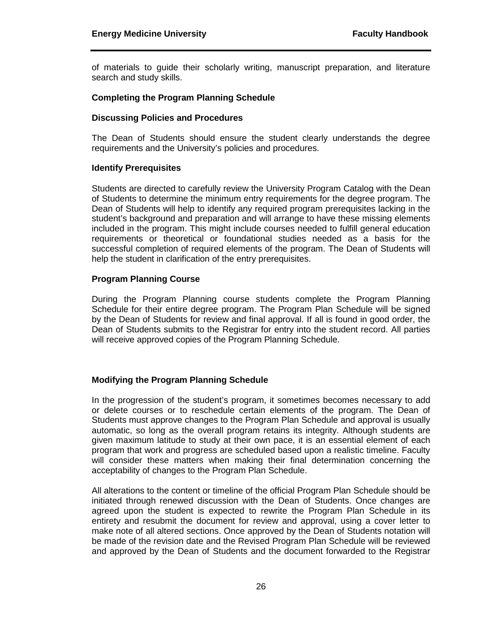of materials to guide their scholarly writing, manuscript preparation, and literature search and study skills.

#### <span id="page-31-0"></span>**Completing the Program Planning Schedule**

#### <span id="page-31-1"></span>**Discussing Policies and Procedures**

The Dean of Students should ensure the student clearly understands the degree requirements and the University's policies and procedures.

#### <span id="page-31-2"></span>**Identify Prerequisites**

Students are directed to carefully review the University Program Catalog with the Dean of Students to determine the minimum entry requirements for the degree program. The Dean of Students will help to identify any required program prerequisites lacking in the student's background and preparation and will arrange to have these missing elements included in the program. This might include courses needed to fulfill general education requirements or theoretical or foundational studies needed as a basis for the successful completion of required elements of the program. The Dean of Students will help the student in clarification of the entry prerequisites.

#### <span id="page-31-3"></span>**Program Planning Course**

During the Program Planning course students complete the Program Planning Schedule for their entire degree program. The Program Plan Schedule will be signed by the Dean of Students for review and final approval. If all is found in good order, the Dean of Students submits to the Registrar for entry into the student record. All parties will receive approved copies of the Program Planning Schedule.

#### <span id="page-31-4"></span>**Modifying the Program Planning Schedule**

In the progression of the student's program, it sometimes becomes necessary to add or delete courses or to reschedule certain elements of the program. The Dean of Students must approve changes to the Program Plan Schedule and approval is usually automatic, so long as the overall program retains its integrity. Although students are given maximum latitude to study at their own pace, it is an essential element of each program that work and progress are scheduled based upon a realistic timeline. Faculty will consider these matters when making their final determination concerning the acceptability of changes to the Program Plan Schedule.

All alterations to the content or timeline of the official Program Plan Schedule should be initiated through renewed discussion with the Dean of Students. Once changes are agreed upon the student is expected to rewrite the Program Plan Schedule in its entirety and resubmit the document for review and approval, using a cover letter to make note of all altered sections. Once approved by the Dean of Students notation will be made of the revision date and the Revised Program Plan Schedule will be reviewed and approved by the Dean of Students and the document forwarded to the Registrar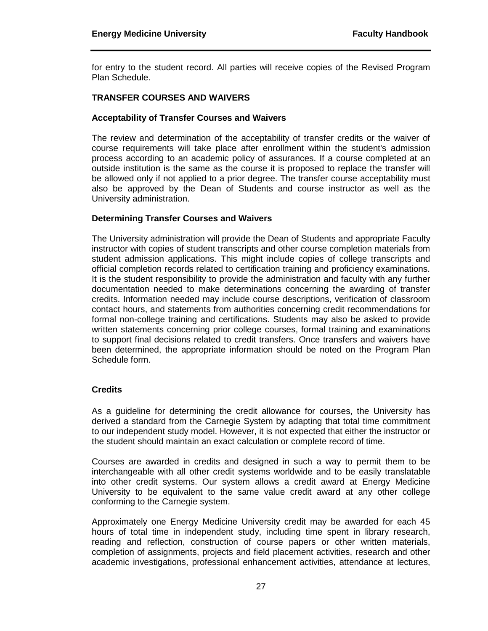for entry to the student record. All parties will receive copies of the Revised Program Plan Schedule.

#### <span id="page-32-0"></span>**TRANSFER COURSES AND WAIVERS**

#### <span id="page-32-1"></span>**Acceptability of Transfer Courses and Waivers**

The review and determination of the acceptability of transfer credits or the waiver of course requirements will take place after enrollment within the student's admission process according to an academic policy of assurances. If a course completed at an outside institution is the same as the course it is proposed to replace the transfer will be allowed only if not applied to a prior degree. The transfer course acceptability must also be approved by the Dean of Students and course instructor as well as the University administration.

#### <span id="page-32-2"></span>**Determining Transfer Courses and Waivers**

The University administration will provide the Dean of Students and appropriate Faculty instructor with copies of student transcripts and other course completion materials from student admission applications. This might include copies of college transcripts and official completion records related to certification training and proficiency examinations. It is the student responsibility to provide the administration and faculty with any further documentation needed to make determinations concerning the awarding of transfer credits. Information needed may include course descriptions, verification of classroom contact hours, and statements from authorities concerning credit recommendations for formal non-college training and certifications. Students may also be asked to provide written statements concerning prior college courses, formal training and examinations to support final decisions related to credit transfers. Once transfers and waivers have been determined, the appropriate information should be noted on the Program Plan Schedule form.

#### <span id="page-32-3"></span>**Credits**

As a guideline for determining the credit allowance for courses, the University has derived a standard from the Carnegie System by adapting that total time commitment to our independent study model. However, it is not expected that either the instructor or the student should maintain an exact calculation or complete record of time.

Courses are awarded in credits and designed in such a way to permit them to be interchangeable with all other credit systems worldwide and to be easily translatable into other credit systems. Our system allows a credit award at Energy Medicine University to be equivalent to the same value credit award at any other college conforming to the Carnegie system.

Approximately one Energy Medicine University credit may be awarded for each 45 hours of total time in independent study, including time spent in library research, reading and reflection, construction of course papers or other written materials, completion of assignments, projects and field placement activities, research and other academic investigations, professional enhancement activities, attendance at lectures,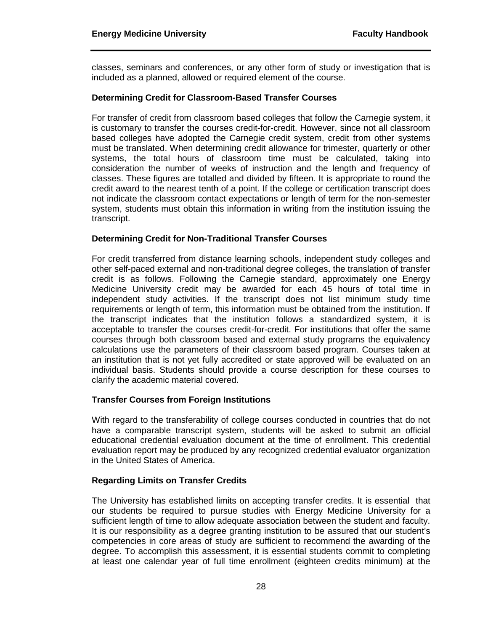classes, seminars and conferences, or any other form of study or investigation that is included as a planned, allowed or required element of the course.

#### <span id="page-33-0"></span>**Determining Credit for Classroom-Based Transfer Courses**

For transfer of credit from classroom based colleges that follow the Carnegie system, it is customary to transfer the courses credit-for-credit. However, since not all classroom based colleges have adopted the Carnegie credit system, credit from other systems must be translated. When determining credit allowance for trimester, quarterly or other systems, the total hours of classroom time must be calculated, taking into consideration the number of weeks of instruction and the length and frequency of classes. These figures are totalled and divided by fifteen. It is appropriate to round the credit award to the nearest tenth of a point. If the college or certification transcript does not indicate the classroom contact expectations or length of term for the non-semester system, students must obtain this information in writing from the institution issuing the transcript.

#### <span id="page-33-1"></span>**Determining Credit for Non-Traditional Transfer Courses**

For credit transferred from distance learning schools, independent study colleges and other self-paced external and non-traditional degree colleges, the translation of transfer credit is as follows. Following the Carnegie standard, approximately one Energy Medicine University credit may be awarded for each 45 hours of total time in independent study activities. If the transcript does not list minimum study time requirements or length of term, this information must be obtained from the institution. If the transcript indicates that the institution follows a standardized system, it is acceptable to transfer the courses credit-for-credit. For institutions that offer the same courses through both classroom based and external study programs the equivalency calculations use the parameters of their classroom based program. Courses taken at an institution that is not yet fully accredited or state approved will be evaluated on an individual basis. Students should provide a course description for these courses to clarify the academic material covered.

#### <span id="page-33-2"></span>**Transfer Courses from Foreign Institutions**

With regard to the transferability of college courses conducted in countries that do not have a comparable transcript system, students will be asked to submit an official educational credential evaluation document at the time of enrollment. This credential evaluation report may be produced by any recognized credential evaluator organization in the United States of America.

#### <span id="page-33-3"></span>**Regarding Limits on Transfer Credits**

The University has established limits on accepting transfer credits. It is essential that our students be required to pursue studies with Energy Medicine University for a sufficient length of time to allow adequate association between the student and faculty. It is our responsibility as a degree granting institution to be assured that our student's competencies in core areas of study are sufficient to recommend the awarding of the degree. To accomplish this assessment, it is essential students commit to completing at least one calendar year of full time enrollment (eighteen credits minimum) at the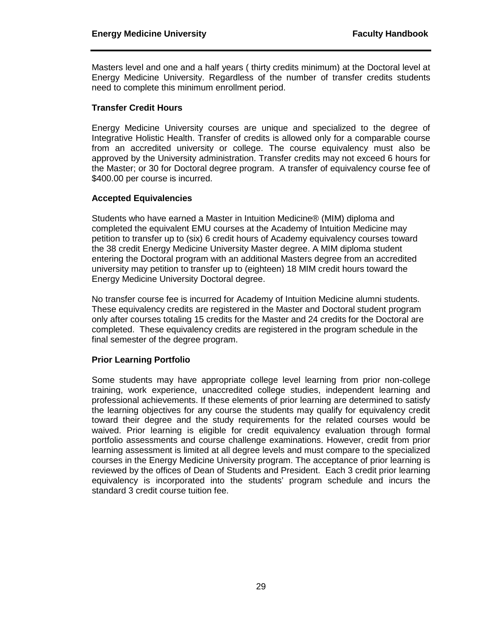Masters level and one and a half years ( thirty credits minimum) at the Doctoral level at Energy Medicine University. Regardless of the number of transfer credits students need to complete this minimum enrollment period.

#### <span id="page-34-0"></span>**Transfer Credit Hours**

Energy Medicine University courses are unique and specialized to the degree of Integrative Holistic Health. Transfer of credits is allowed only for a comparable course from an accredited university or college. The course equivalency must also be approved by the University administration. Transfer credits may not exceed 6 hours for the Master; or 30 for Doctoral degree program. A transfer of equivalency course fee of \$400.00 per course is incurred.

#### <span id="page-34-1"></span>**Accepted Equivalencies**

Students who have earned a Master in Intuition Medicine® (MIM) diploma and completed the equivalent EMU courses at the Academy of Intuition Medicine may petition to transfer up to (six) 6 credit hours of Academy equivalency courses toward the 38 credit Energy Medicine University Master degree. A MIM diploma student entering the Doctoral program with an additional Masters degree from an accredited university may petition to transfer up to (eighteen) 18 MIM credit hours toward the Energy Medicine University Doctoral degree.

No transfer course fee is incurred for Academy of Intuition Medicine alumni students. These equivalency credits are registered in the Master and Doctoral student program only after courses totaling 15 credits for the Master and 24 credits for the Doctoral are completed. These equivalency credits are registered in the program schedule in the final semester of the degree program.

#### <span id="page-34-2"></span>**Prior Learning Portfolio**

Some students may have appropriate college level learning from prior non-college training, work experience, unaccredited college studies, independent learning and professional achievements. If these elements of prior learning are determined to satisfy the learning objectives for any course the students may qualify for equivalency credit toward their degree and the study requirements for the related courses would be waived. Prior learning is eligible for credit equivalency evaluation through formal portfolio assessments and course challenge examinations. However, credit from prior learning assessment is limited at all degree levels and must compare to the specialized courses in the Energy Medicine University program. The acceptance of prior learning is reviewed by the offices of Dean of Students and President. Each 3 credit prior learning equivalency is incorporated into the students' program schedule and incurs the standard 3 credit course tuition fee.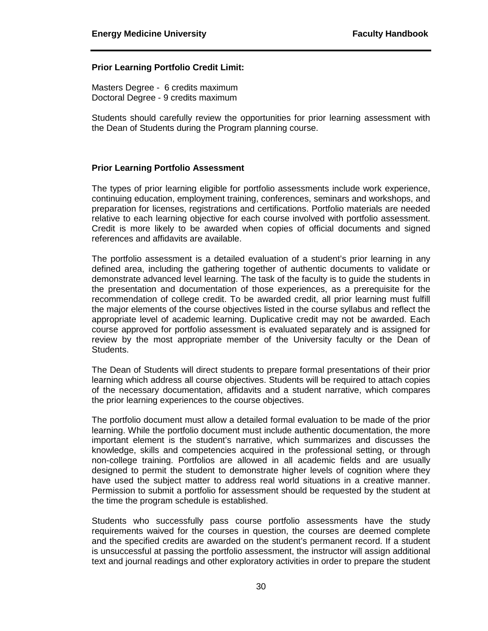#### <span id="page-35-0"></span>**Prior Learning Portfolio Credit Limit:**

Masters Degree - 6 credits maximum Doctoral Degree - 9 credits maximum

Students should carefully review the opportunities for prior learning assessment with the Dean of Students during the Program planning course.

#### <span id="page-35-1"></span>**Prior Learning Portfolio Assessment**

The types of prior learning eligible for portfolio assessments include work experience, continuing education, employment training, conferences, seminars and workshops, and preparation for licenses, registrations and certifications. Portfolio materials are needed relative to each learning objective for each course involved with portfolio assessment. Credit is more likely to be awarded when copies of official documents and signed references and affidavits are available.

The portfolio assessment is a detailed evaluation of a student's prior learning in any defined area, including the gathering together of authentic documents to validate or demonstrate advanced level learning. The task of the faculty is to guide the students in the presentation and documentation of those experiences, as a prerequisite for the recommendation of college credit. To be awarded credit, all prior learning must fulfill the major elements of the course objectives listed in the course syllabus and reflect the appropriate level of academic learning. Duplicative credit may not be awarded. Each course approved for portfolio assessment is evaluated separately and is assigned for review by the most appropriate member of the University faculty or the Dean of Students.

The Dean of Students will direct students to prepare formal presentations of their prior learning which address all course objectives. Students will be required to attach copies of the necessary documentation, affidavits and a student narrative, which compares the prior learning experiences to the course objectives.

The portfolio document must allow a detailed formal evaluation to be made of the prior learning. While the portfolio document must include authentic documentation, the more important element is the student's narrative, which summarizes and discusses the knowledge, skills and competencies acquired in the professional setting, or through non-college training. Portfolios are allowed in all academic fields and are usually designed to permit the student to demonstrate higher levels of cognition where they have used the subject matter to address real world situations in a creative manner. Permission to submit a portfolio for assessment should be requested by the student at the time the program schedule is established.

Students who successfully pass course portfolio assessments have the study requirements waived for the courses in question, the courses are deemed complete and the specified credits are awarded on the student's permanent record. If a student is unsuccessful at passing the portfolio assessment, the instructor will assign additional text and journal readings and other exploratory activities in order to prepare the student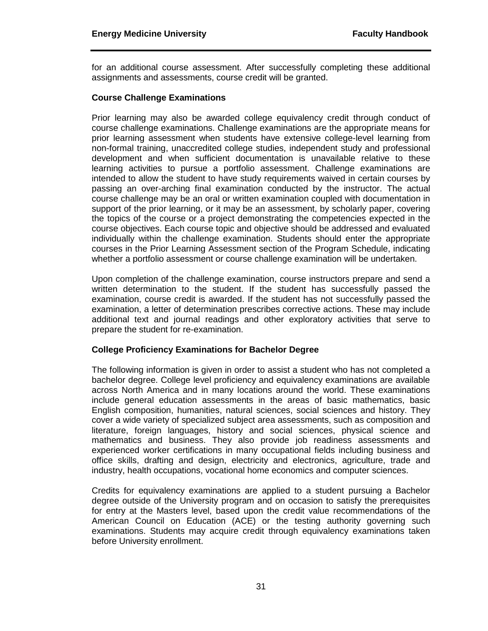for an additional course assessment. After successfully completing these additional assignments and assessments, course credit will be granted.

#### <span id="page-36-0"></span>**Course Challenge Examinations**

Prior learning may also be awarded college equivalency credit through conduct of course challenge examinations. Challenge examinations are the appropriate means for prior learning assessment when students have extensive college-level learning from non-formal training, unaccredited college studies, independent study and professional development and when sufficient documentation is unavailable relative to these learning activities to pursue a portfolio assessment. Challenge examinations are intended to allow the student to have study requirements waived in certain courses by passing an over-arching final examination conducted by the instructor. The actual course challenge may be an oral or written examination coupled with documentation in support of the prior learning, or it may be an assessment, by scholarly paper, covering the topics of the course or a project demonstrating the competencies expected in the course objectives. Each course topic and objective should be addressed and evaluated individually within the challenge examination. Students should enter the appropriate courses in the Prior Learning Assessment section of the Program Schedule, indicating whether a portfolio assessment or course challenge examination will be undertaken.

Upon completion of the challenge examination, course instructors prepare and send a written determination to the student. If the student has successfully passed the examination, course credit is awarded. If the student has not successfully passed the examination, a letter of determination prescribes corrective actions. These may include additional text and journal readings and other exploratory activities that serve to prepare the student for re-examination.

#### <span id="page-36-1"></span>**College Proficiency Examinations for Bachelor Degree**

The following information is given in order to assist a student who has not completed a bachelor degree. College level proficiency and equivalency examinations are available across North America and in many locations around the world. These examinations include general education assessments in the areas of basic mathematics, basic English composition, humanities, natural sciences, social sciences and history. They cover a wide variety of specialized subject area assessments, such as composition and literature, foreign languages, history and social sciences, physical science and mathematics and business. They also provide job readiness assessments and experienced worker certifications in many occupational fields including business and office skills, drafting and design, electricity and electronics, agriculture, trade and industry, health occupations, vocational home economics and computer sciences.

Credits for equivalency examinations are applied to a student pursuing a Bachelor degree outside of the University program and on occasion to satisfy the prerequisites for entry at the Masters level, based upon the credit value recommendations of the American Council on Education (ACE) or the testing authority governing such examinations. Students may acquire credit through equivalency examinations taken before University enrollment.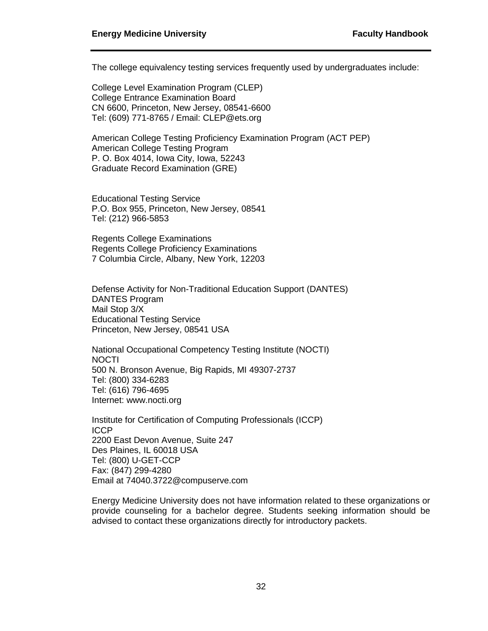The college equivalency testing services frequently used by undergraduates include:

College Level Examination Program (CLEP) College Entrance Examination Board CN 6600, Princeton, New Jersey, 08541-6600 Tel: (609) 771-8765 / Email: CLEP@ets.org

American College Testing Proficiency Examination Program (ACT PEP) American College Testing Program P. O. Box 4014, Iowa City, Iowa, 52243 Graduate Record Examination (GRE)

Educational Testing Service P.O. Box 955, Princeton, New Jersey, 08541 Tel: (212) 966-5853

Regents College Examinations Regents College Proficiency Examinations 7 Columbia Circle, Albany, New York, 12203

Defense Activity for Non-Traditional Education Support (DANTES) DANTES Program Mail Stop 3/X Educational Testing Service Princeton, New Jersey, 08541 USA

National Occupational Competency Testing Institute (NOCTI) NOCTI 500 N. Bronson Avenue, Big Rapids, MI 49307-2737 Tel: (800) 334-6283 Tel: (616) 796-4695 Internet: www.nocti.org

Institute for Certification of Computing Professionals (ICCP) ICCP 2200 East Devon Avenue, Suite 247 Des Plaines, IL 60018 USA Tel: (800) U-GET-CCP Fax: (847) 299-4280 Email at 74040.3722@compuserve.com

Energy Medicine University does not have information related to these organizations or provide counseling for a bachelor degree. Students seeking information should be advised to contact these organizations directly for introductory packets.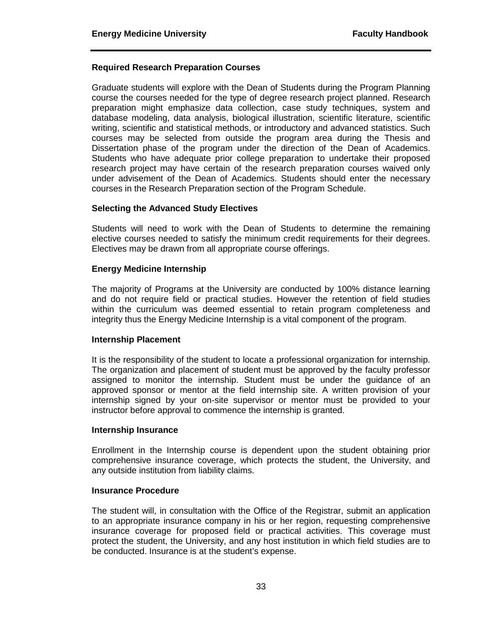#### <span id="page-38-0"></span>**Required Research Preparation Courses**

Graduate students will explore with the Dean of Students during the Program Planning course the courses needed for the type of degree research project planned. Research preparation might emphasize data collection, case study techniques, system and database modeling, data analysis, biological illustration, scientific literature, scientific writing, scientific and statistical methods, or introductory and advanced statistics. Such courses may be selected from outside the program area during the Thesis and Dissertation phase of the program under the direction of the Dean of Academics. Students who have adequate prior college preparation to undertake their proposed research project may have certain of the research preparation courses waived only under advisement of the Dean of Academics. Students should enter the necessary courses in the Research Preparation section of the Program Schedule.

#### <span id="page-38-1"></span>**Selecting the Advanced Study Electives**

Students will need to work with the Dean of Students to determine the remaining elective courses needed to satisfy the minimum credit requirements for their degrees. Electives may be drawn from all appropriate course offerings.

#### <span id="page-38-2"></span>**Energy Medicine Internship**

The majority of Programs at the University are conducted by 100% distance learning and do not require field or practical studies. However the retention of field studies within the curriculum was deemed essential to retain program completeness and integrity thus the Energy Medicine Internship is a vital component of the program.

#### <span id="page-38-3"></span>**Internship Placement**

It is the responsibility of the student to locate a professional organization for internship. The organization and placement of student must be approved by the faculty professor assigned to monitor the internship. Student must be under the guidance of an approved sponsor or mentor at the field internship site. A written provision of your internship signed by your on-site supervisor or mentor must be provided to your instructor before approval to commence the internship is granted.

#### <span id="page-38-4"></span>**Internship Insurance**

Enrollment in the Internship course is dependent upon the student obtaining prior comprehensive insurance coverage, which protects the student, the University, and any outside institution from liability claims.

#### <span id="page-38-5"></span>**Insurance Procedure**

The student will, in consultation with the Office of the Registrar, submit an application to an appropriate insurance company in his or her region, requesting comprehensive insurance coverage for proposed field or practical activities. This coverage must protect the student, the University, and any host institution in which field studies are to be conducted. Insurance is at the student's expense.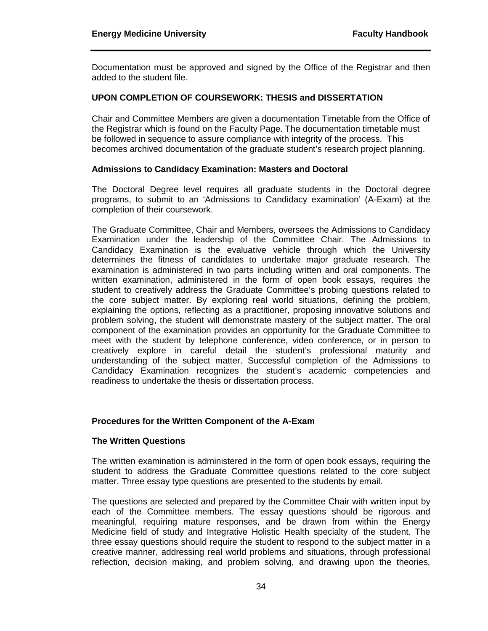Documentation must be approved and signed by the Office of the Registrar and then added to the student file.

#### <span id="page-39-0"></span>**UPON COMPLETION OF COURSEWORK: THESIS and DISSERTATION**

Chair and Committee Members are given a documentation Timetable from the Office of the Registrar which is found on the Faculty Page. The documentation timetable must be followed in sequence to assure compliance with integrity of the process. This becomes archived documentation of the graduate student's research project planning.

#### <span id="page-39-1"></span>**Admissions to Candidacy Examination: Masters and Doctoral**

The Doctoral Degree level requires all graduate students in the Doctoral degree programs, to submit to an 'Admissions to Candidacy examination' (A-Exam) at the completion of their coursework.

The Graduate Committee, Chair and Members, oversees the Admissions to Candidacy Examination under the leadership of the Committee Chair. The Admissions to Candidacy Examination is the evaluative vehicle through which the University determines the fitness of candidates to undertake major graduate research. The examination is administered in two parts including written and oral components. The written examination, administered in the form of open book essays, requires the student to creatively address the Graduate Committee's probing questions related to the core subject matter. By exploring real world situations, defining the problem, explaining the options, reflecting as a practitioner, proposing innovative solutions and problem solving, the student will demonstrate mastery of the subject matter. The oral component of the examination provides an opportunity for the Graduate Committee to meet with the student by telephone conference, video conference, or in person to creatively explore in careful detail the student's professional maturity and understanding of the subject matter. Successful completion of the Admissions to Candidacy Examination recognizes the student's academic competencies and readiness to undertake the thesis or dissertation process.

#### <span id="page-39-2"></span>**Procedures for the Written Component of the A-Exam**

#### <span id="page-39-3"></span>**The Written Questions**

The written examination is administered in the form of open book essays, requiring the student to address the Graduate Committee questions related to the core subject matter. Three essay type questions are presented to the students by email.

The questions are selected and prepared by the Committee Chair with written input by each of the Committee members. The essay questions should be rigorous and meaningful, requiring mature responses, and be drawn from within the Energy Medicine field of study and Integrative Holistic Health specialty of the student. The three essay questions should require the student to respond to the subject matter in a creative manner, addressing real world problems and situations, through professional reflection, decision making, and problem solving, and drawing upon the theories,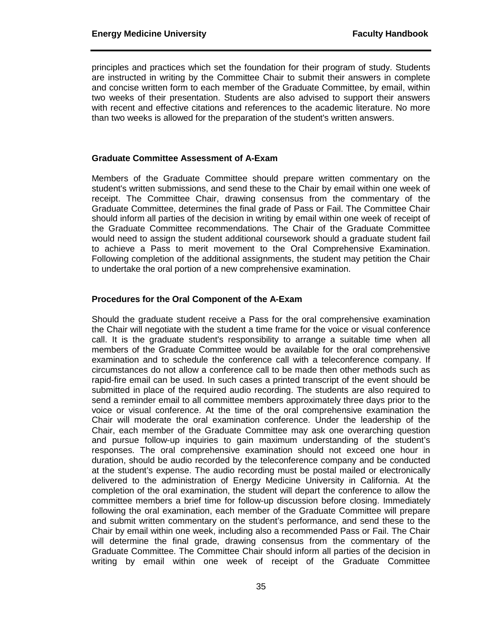principles and practices which set the foundation for their program of study. Students are instructed in writing by the Committee Chair to submit their answers in complete and concise written form to each member of the Graduate Committee, by email, within two weeks of their presentation. Students are also advised to support their answers with recent and effective citations and references to the academic literature. No more than two weeks is allowed for the preparation of the student's written answers.

#### <span id="page-40-0"></span>**Graduate Committee Assessment of A-Exam**

Members of the Graduate Committee should prepare written commentary on the student's written submissions, and send these to the Chair by email within one week of receipt. The Committee Chair, drawing consensus from the commentary of the Graduate Committee, determines the final grade of Pass or Fail. The Committee Chair should inform all parties of the decision in writing by email within one week of receipt of the Graduate Committee recommendations. The Chair of the Graduate Committee would need to assign the student additional coursework should a graduate student fail to achieve a Pass to merit movement to the Oral Comprehensive Examination. Following completion of the additional assignments, the student may petition the Chair to undertake the oral portion of a new comprehensive examination.

#### <span id="page-40-1"></span>**Procedures for the Oral Component of the A-Exam**

Should the graduate student receive a Pass for the oral comprehensive examination the Chair will negotiate with the student a time frame for the voice or visual conference call. It is the graduate student's responsibility to arrange a suitable time when all members of the Graduate Committee would be available for the oral comprehensive examination and to schedule the conference call with a teleconference company. If circumstances do not allow a conference call to be made then other methods such as rapid-fire email can be used. In such cases a printed transcript of the event should be submitted in place of the required audio recording. The students are also required to send a reminder email to all committee members approximately three days prior to the voice or visual conference. At the time of the oral comprehensive examination the Chair will moderate the oral examination conference. Under the leadership of the Chair, each member of the Graduate Committee may ask one overarching question and pursue follow-up inquiries to gain maximum understanding of the student's responses. The oral comprehensive examination should not exceed one hour in duration, should be audio recorded by the teleconference company and be conducted at the student's expense. The audio recording must be postal mailed or electronically delivered to the administration of Energy Medicine University in California. At the completion of the oral examination, the student will depart the conference to allow the committee members a brief time for follow-up discussion before closing. Immediately following the oral examination, each member of the Graduate Committee will prepare and submit written commentary on the student's performance, and send these to the Chair by email within one week, including also a recommended Pass or Fail. The Chair will determine the final grade, drawing consensus from the commentary of the Graduate Committee. The Committee Chair should inform all parties of the decision in writing by email within one week of receipt of the Graduate Committee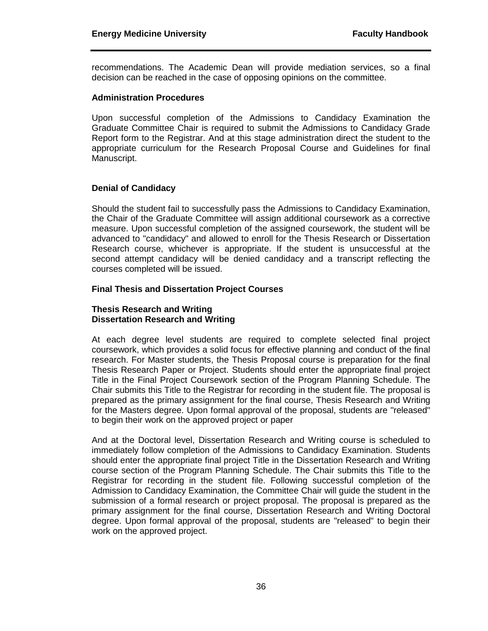recommendations. The Academic Dean will provide mediation services, so a final decision can be reached in the case of opposing opinions on the committee.

#### <span id="page-41-0"></span>**Administration Procedures**

Upon successful completion of the Admissions to Candidacy Examination the Graduate Committee Chair is required to submit the Admissions to Candidacy Grade Report form to the Registrar. And at this stage administration direct the student to the appropriate curriculum for the Research Proposal Course and Guidelines for final Manuscript.

#### <span id="page-41-1"></span>**Denial of Candidacy**

Should the student fail to successfully pass the Admissions to Candidacy Examination, the Chair of the Graduate Committee will assign additional coursework as a corrective measure. Upon successful completion of the assigned coursework, the student will be advanced to "candidacy" and allowed to enroll for the Thesis Research or Dissertation Research course, whichever is appropriate. If the student is unsuccessful at the second attempt candidacy will be denied candidacy and a transcript reflecting the courses completed will be issued.

#### <span id="page-41-2"></span>**Final Thesis and Dissertation Project Courses**

#### <span id="page-41-4"></span><span id="page-41-3"></span>**Thesis Research and Writing Dissertation Research and Writing**

At each degree level students are required to complete selected final project coursework, which provides a solid focus for effective planning and conduct of the final research. For Master students, the Thesis Proposal course is preparation for the final Thesis Research Paper or Project. Students should enter the appropriate final project Title in the Final Project Coursework section of the Program Planning Schedule. The Chair submits this Title to the Registrar for recording in the student file. The proposal is prepared as the primary assignment for the final course, Thesis Research and Writing for the Masters degree. Upon formal approval of the proposal, students are "released" to begin their work on the approved project or paper

And at the Doctoral level, Dissertation Research and Writing course is scheduled to immediately follow completion of the Admissions to Candidacy Examination. Students should enter the appropriate final project Title in the Dissertation Research and Writing course section of the Program Planning Schedule. The Chair submits this Title to the Registrar for recording in the student file. Following successful completion of the Admission to Candidacy Examination, the Committee Chair will guide the student in the submission of a formal research or project proposal. The proposal is prepared as the primary assignment for the final course, Dissertation Research and Writing Doctoral degree. Upon formal approval of the proposal, students are "released" to begin their work on the approved project.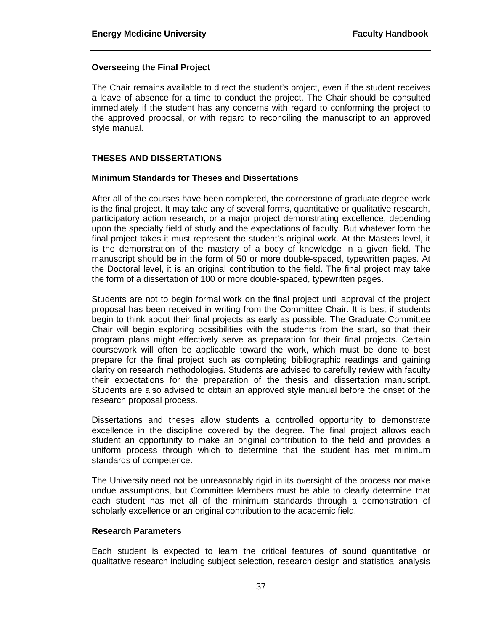#### <span id="page-42-0"></span>**Overseeing the Final Project**

The Chair remains available to direct the student's project, even if the student receives a leave of absence for a time to conduct the project. The Chair should be consulted immediately if the student has any concerns with regard to conforming the project to the approved proposal, or with regard to reconciling the manuscript to an approved [style manual.](http://university.edu.nf/manuscriptprep.PDF)

#### <span id="page-42-1"></span>**THESES AND DISSERTATIONS**

#### <span id="page-42-2"></span>**Minimum Standards for Theses and Dissertations**

After all of the courses have been completed, the cornerstone of graduate degree work is the final project. It may take any of several forms, quantitative or qualitative research, participatory action research, or a major project demonstrating excellence, depending upon the specialty field of study and the expectations of faculty. But whatever form the final project takes it must represent the student's original work. At the Masters level, it is the demonstration of the mastery of a body of knowledge in a given field. The manuscript should be in the form of 50 or more double-spaced, typewritten pages. At the Doctoral level, it is an original contribution to the field. The final project may take the form of a dissertation of 100 or more double-spaced, typewritten pages.

Students are not to begin formal work on the final project until approval of the project proposal has been received in writing from the Committee Chair. It is best if students begin to think about their final projects as early as possible. The Graduate Committee Chair will begin exploring possibilities with the students from the start, so that their program plans might effectively serve as preparation for their final projects. Certain coursework will often be applicable toward the work, which must be done to best prepare for the final project such as completing bibliographic readings and gaining clarity on research methodologies. Students are advised to carefully review with faculty their expectations for the preparation of the thesis and dissertation manuscript. Students are also advised to obtain an approved style manual before the onset of the research proposal process.

Dissertations and theses allow students a controlled opportunity to demonstrate excellence in the discipline covered by the degree. The final project allows each student an opportunity to make an original contribution to the field and provides a uniform process through which to determine that the student has met minimum standards of competence.

The University need not be unreasonably rigid in its oversight of the process nor make undue assumptions, but Committee Members must be able to clearly determine that each student has met all of the minimum standards through a demonstration of scholarly excellence or an original contribution to the academic field.

#### <span id="page-42-3"></span>**Research Parameters**

Each student is expected to learn the critical features of sound quantitative or qualitative research including subject selection, research design and statistical analysis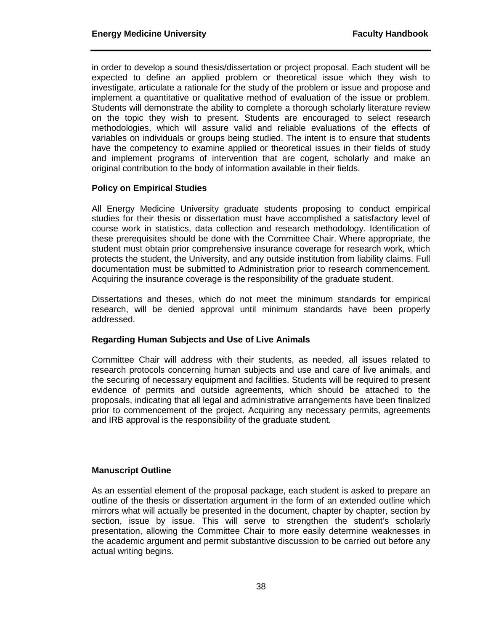in order to develop a sound thesis/dissertation or project proposal. Each student will be expected to define an applied problem or theoretical issue which they wish to investigate, articulate a rationale for the study of the problem or issue and propose and implement a quantitative or qualitative method of evaluation of the issue or problem. Students will demonstrate the ability to complete a thorough scholarly literature review on the topic they wish to present. Students are encouraged to select research methodologies, which will assure valid and reliable evaluations of the effects of variables on individuals or groups being studied. The intent is to ensure that students have the competency to examine applied or theoretical issues in their fields of study and implement programs of intervention that are cogent, scholarly and make an original contribution to the body of information available in their fields.

#### <span id="page-43-0"></span>**Policy on Empirical Studies**

All Energy Medicine University graduate students proposing to conduct empirical studies for their thesis or dissertation must have accomplished a satisfactory level of course work in statistics, data collection and research methodology. Identification of these prerequisites should be done with the Committee Chair. Where appropriate, the student must obtain prior comprehensive insurance coverage for research work, which protects the student, the University, and any outside institution from liability claims. Full documentation must be submitted to Administration prior to research commencement. Acquiring the insurance coverage is the responsibility of the graduate student.

Dissertations and theses, which do not meet the minimum standards for empirical research, will be denied approval until minimum standards have been properly addressed.

#### <span id="page-43-1"></span>**Regarding Human Subjects and Use of Live Animals**

Committee Chair will address with their students, as needed, all issues related to research protocols concerning human subjects and use and care of live animals, and the securing of necessary equipment and facilities. Students will be required to present evidence of permits and outside agreements, which should be attached to the proposals, indicating that all legal and administrative arrangements have been finalized prior to commencement of the project. Acquiring any necessary permits, agreements and IRB approval is the responsibility of the graduate student.

#### <span id="page-43-2"></span>**Manuscript Outline**

As an essential element of the proposal package, each student is asked to prepare an outline of the thesis or dissertation argument in the form of an extended outline which mirrors what will actually be presented in the document, chapter by chapter, section by section, issue by issue. This will serve to strengthen the student's scholarly presentation, allowing the Committee Chair to more easily determine weaknesses in the academic argument and permit substantive discussion to be carried out before any actual writing begins.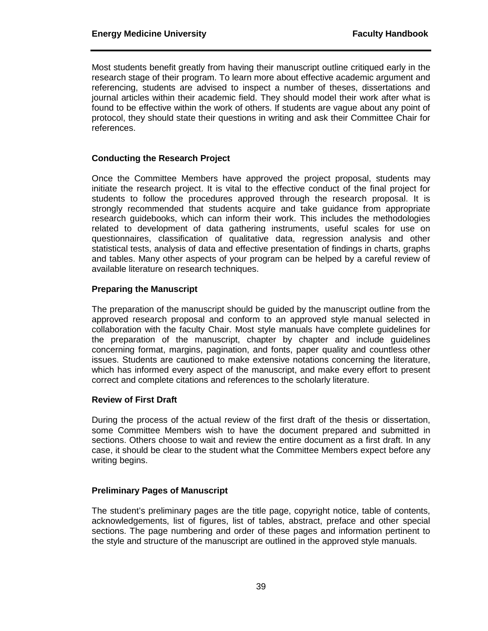Most students benefit greatly from having their manuscript outline critiqued early in the research stage of their program. To learn more about effective academic argument and referencing, students are advised to inspect a number of theses, dissertations and journal articles within their academic field. They should model their work after what is found to be effective within the work of others. If students are vague about any point of protocol, they should state their questions in writing and ask their Committee Chair for references.

#### <span id="page-44-0"></span>**Conducting the Research Project**

Once the Committee Members have approved the project proposal, students may initiate the research project. It is vital to the effective conduct of the final project for students to follow the procedures approved through the research proposal. It is strongly recommended that students acquire and take guidance from appropriate research guidebooks, which can inform their work. This includes the methodologies related to development of data gathering instruments, useful scales for use on questionnaires, classification of qualitative data, regression analysis and other statistical tests, analysis of data and effective presentation of findings in charts, graphs and tables. Many other aspects of your program can be helped by a careful review of available literature on research techniques.

#### <span id="page-44-1"></span>**Preparing the Manuscript**

The preparation of the manuscript should be guided by the manuscript outline from the approved research proposal and conform to an approved style manual selected in collaboration with the faculty Chair. Most style manuals have complete guidelines for the preparation of the manuscript, chapter by chapter and include guidelines concerning format, margins, pagination, and fonts, paper quality and countless other issues. Students are cautioned to make extensive notations concerning the literature, which has informed every aspect of the manuscript, and make every effort to present correct and complete citations and references to the scholarly literature.

#### <span id="page-44-2"></span>**Review of First Draft**

During the process of the actual review of the first draft of the thesis or dissertation, some Committee Members wish to have the document prepared and submitted in sections. Others choose to wait and review the entire document as a first draft. In any case, it should be clear to the student what the Committee Members expect before any writing begins.

#### <span id="page-44-3"></span>**Preliminary Pages of Manuscript**

The student's preliminary pages are the title page, copyright notice, table of contents, acknowledgements, list of figures, list of tables, abstract, preface and other special sections. The page numbering and order of these pages and information pertinent to the style and structure of the manuscript are outlined in the approved style manuals.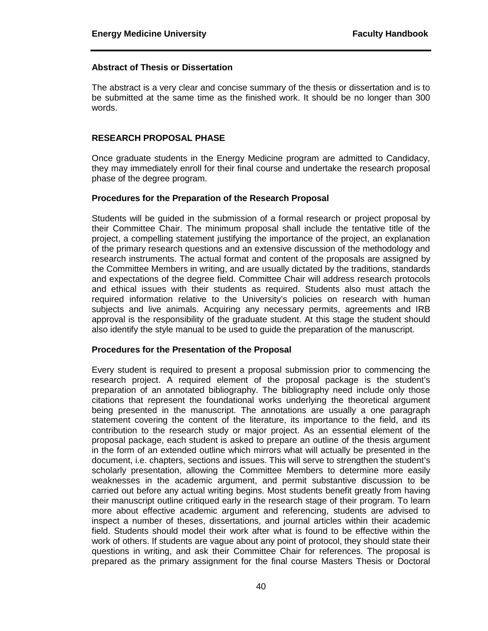#### <span id="page-45-0"></span>**Abstract of Thesis or Dissertation**

The abstract is a very clear and concise summary of the thesis or dissertation and is to be submitted at the same time as the finished work. It should be no longer than 300 words.

#### <span id="page-45-1"></span>**RESEARCH PROPOSAL PHASE**

Once graduate students in the Energy Medicine program are admitted to Candidacy, they may immediately enroll for their final course and undertake the research proposal phase of the degree program.

#### <span id="page-45-2"></span>**Procedures for the Preparation of the Research Proposal**

Students will be guided in the submission of a formal research or project proposal by their Committee Chair. The minimum proposal shall include the tentative title of the project, a compelling statement justifying the importance of the project, an explanation of the primary research questions and an extensive discussion of the methodology and research instruments. The actual format and content of the proposals are assigned by the Committee Members in writing, and are usually dictated by the traditions, standards and expectations of the degree field. Committee Chair will address research protocols and ethical issues with their students as required. Students also must attach the required information relative to the University's policies on research with human subjects and live animals. Acquiring any necessary permits, agreements and IRB approval is the responsibility of the graduate student. At this stage the student should also identify the style manual to be used to guide the preparation of the manuscript.

#### <span id="page-45-3"></span>**Procedures for the Presentation of the Proposal**

Every student is required to present a proposal submission prior to commencing the research project. A required element of the proposal package is the student's preparation of an annotated bibliography. The bibliography need include only those citations that represent the foundational works underlying the theoretical argument being presented in the manuscript. The annotations are usually a one paragraph statement covering the content of the literature, its importance to the field, and its contribution to the research study or major project. As an essential element of the proposal package, each student is asked to prepare an outline of the thesis argument in the form of an extended outline which mirrors what will actually be presented in the document, i.e. chapters, sections and issues. This will serve to strengthen the student's scholarly presentation, allowing the Committee Members to determine more easily weaknesses in the academic argument, and permit substantive discussion to be carried out before any actual writing begins. Most students benefit greatly from having their manuscript outline critiqued early in the research stage of their program. To learn more about effective academic argument and referencing, students are advised to inspect a number of theses, dissertations, and journal articles within their academic field. Students should model their work after what is found to be effective within the work of others. If students are vague about any point of protocol, they should state their questions in writing, and ask their Committee Chair for references. The proposal is prepared as the primary assignment for the final course Masters Thesis or Doctoral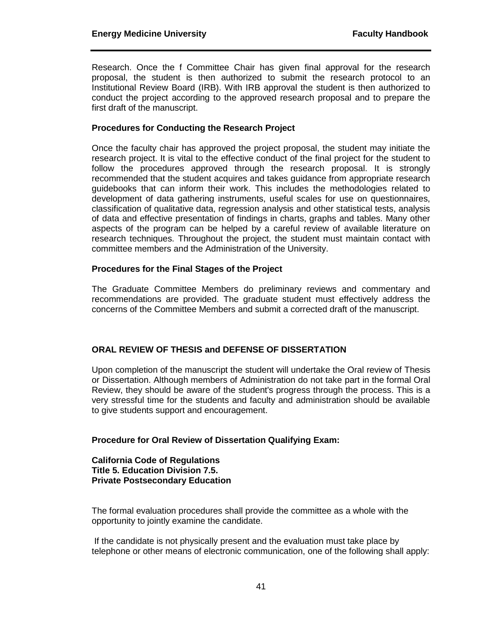Research. Once the f Committee Chair has given final approval for the research proposal, the student is then authorized to submit the research protocol to an Institutional Review Board (IRB). With IRB approval the student is then authorized to conduct the project according to the approved research proposal and to prepare the first draft of the manuscript.

#### <span id="page-46-0"></span>**Procedures for Conducting the Research Project**

Once the faculty chair has approved the project proposal, the student may initiate the research project. It is vital to the effective conduct of the final project for the student to follow the procedures approved through the research proposal. It is strongly recommended that the student acquires and takes guidance from appropriate research guidebooks that can inform their work. This includes the methodologies related to development of data gathering instruments, useful scales for use on questionnaires, classification of qualitative data, regression analysis and other statistical tests, analysis of data and effective presentation of findings in charts, graphs and tables. Many other aspects of the program can be helped by a careful review of available literature on research techniques. Throughout the project, the student must maintain contact with committee members and the Administration of the University.

#### <span id="page-46-1"></span>**Procedures for the Final Stages of the Project**

The Graduate Committee Members do preliminary reviews and commentary and recommendations are provided. The graduate student must effectively address the concerns of the Committee Members and submit a corrected draft of the manuscript.

#### <span id="page-46-2"></span>**ORAL REVIEW OF THESIS and DEFENSE OF DISSERTATION**

Upon completion of the manuscript the student will undertake the Oral review of Thesis or Dissertation. Although members of Administration do not take part in the formal Oral Review, they should be aware of the student's progress through the process. This is a very stressful time for the students and faculty and administration should be available to give students support and encouragement.

#### <span id="page-46-3"></span>**Procedure for Oral Review of Dissertation Qualifying Exam:**

#### <span id="page-46-6"></span><span id="page-46-5"></span><span id="page-46-4"></span>**California Code of Regulations Title 5. Education Division 7.5. Private Postsecondary Education**

The formal evaluation procedures shall provide the committee as a whole with the opportunity to jointly examine the candidate.

If the candidate is not physically present and the evaluation must take place by telephone or other means of electronic communication, one of the following shall apply: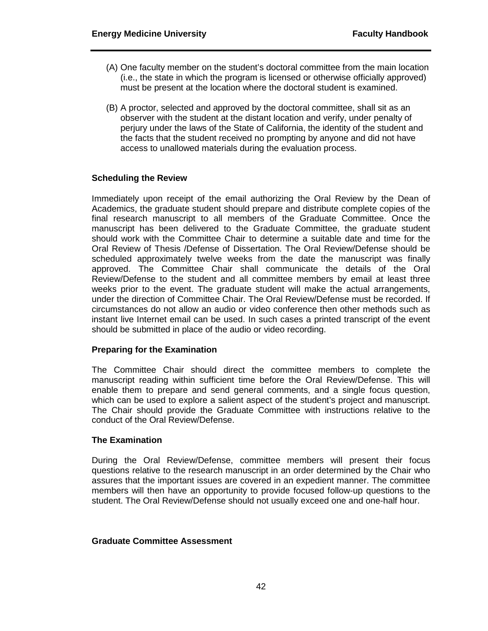- (A) One faculty member on the student's doctoral committee from the main location (i.e., the state in which the program is licensed or otherwise officially approved) must be present at the location where the doctoral student is examined.
- (B) A proctor, selected and approved by the doctoral committee, shall sit as an observer with the student at the distant location and verify, under penalty of perjury under the laws of the State of California, the identity of the student and the facts that the student received no prompting by anyone and did not have access to unallowed materials during the evaluation process.

#### <span id="page-47-0"></span>**Scheduling the Review**

Immediately upon receipt of the email authorizing the Oral Review by the Dean of Academics, the graduate student should prepare and distribute complete copies of the final research manuscript to all members of the Graduate Committee. Once the manuscript has been delivered to the Graduate Committee, the graduate student should work with the Committee Chair to determine a suitable date and time for the Oral Review of Thesis /Defense of Dissertation. The Oral Review/Defense should be scheduled approximately twelve weeks from the date the manuscript was finally approved. The Committee Chair shall communicate the details of the Oral Review/Defense to the student and all committee members by email at least three weeks prior to the event. The graduate student will make the actual arrangements, under the direction of Committee Chair. The Oral Review/Defense must be recorded. If circumstances do not allow an audio or video conference then other methods such as instant live Internet email can be used. In such cases a printed transcript of the event should be submitted in place of the audio or video recording.

#### <span id="page-47-1"></span>**Preparing for the Examination**

The Committee Chair should direct the committee members to complete the manuscript reading within sufficient time before the Oral Review/Defense. This will enable them to prepare and send general comments, and a single focus question, which can be used to explore a salient aspect of the student's project and manuscript. The Chair should provide the Graduate Committee with instructions relative to the conduct of the Oral Review/Defense.

#### <span id="page-47-2"></span>**The Examination**

During the Oral Review/Defense, committee members will present their focus questions relative to the research manuscript in an order determined by the Chair who assures that the important issues are covered in an expedient manner. The committee members will then have an opportunity to provide focused follow-up questions to the student. The Oral Review/Defense should not usually exceed one and one-half hour.

#### <span id="page-47-3"></span>**Graduate Committee Assessment**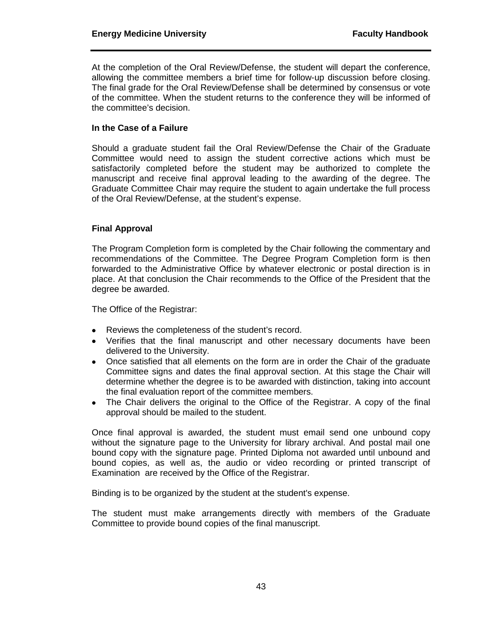At the completion of the Oral Review/Defense, the student will depart the conference, allowing the committee members a brief time for follow-up discussion before closing. The final grade for the Oral Review/Defense shall be determined by consensus or vote of the committee. When the student returns to the conference they will be informed of the committee's decision.

#### <span id="page-48-0"></span>**In the Case of a Failure**

Should a graduate student fail the Oral Review/Defense the Chair of the Graduate Committee would need to assign the student corrective actions which must be satisfactorily completed before the student may be authorized to complete the manuscript and receive final approval leading to the awarding of the degree. The Graduate Committee Chair may require the student to again undertake the full process of the Oral Review/Defense, at the student's expense.

#### <span id="page-48-1"></span>**Final Approval**

The Program Completion form is completed by the Chair following the commentary and recommendations of the Committee. The Degree Program Completion form is then forwarded to the Administrative Office by whatever electronic or postal direction is in place. At that conclusion the Chair recommends to the Office of the President that the degree be awarded.

The Office of the Registrar:

- Reviews the completeness of the student's record.
- Verifies that the final manuscript and other necessary documents have been delivered to the University.
- Once satisfied that all elements on the form are in order the Chair of the graduate Committee signs and dates the final approval section. At this stage the Chair will determine whether the degree is to be awarded with distinction, taking into account the final evaluation report of the committee members.
- The Chair delivers the original to the Office of the Registrar. A copy of the final approval should be mailed to the student.

Once final approval is awarded, the student must email send one unbound copy without the signature page to the University for library archival. And postal mail one bound copy with the signature page. Printed Diploma not awarded until unbound and bound copies, as well as, the audio or video recording or printed transcript of Examination are received by the Office of the Registrar.

Binding is to be organized by the student at the student's expense.

The student must make arrangements directly with members of the Graduate Committee to provide bound copies of the final manuscript.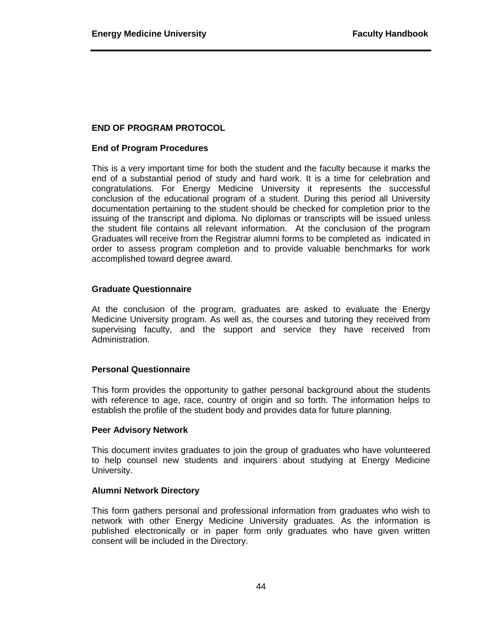#### <span id="page-49-0"></span>**END OF PROGRAM PROTOCOL**

#### <span id="page-49-1"></span>**End of Program Procedures**

This is a very important time for both the student and the faculty because it marks the end of a substantial period of study and hard work. It is a time for celebration and congratulations. For Energy Medicine University it represents the successful conclusion of the educational program of a student. During this period all University documentation pertaining to the student should be checked for completion prior to the issuing of the transcript and diploma. No diplomas or transcripts will be issued unless the student file contains all relevant information. At the conclusion of the program Graduates will receive from the Registrar alumni forms to be completed as indicated in order to assess program completion and to provide valuable benchmarks for work accomplished toward degree award.

#### <span id="page-49-2"></span>**Graduate Questionnaire**

At the conclusion of the program, graduates are asked to evaluate the Energy Medicine University program. As well as, the courses and tutoring they received from supervising faculty, and the support and service they have received from Administration.

#### <span id="page-49-3"></span>**Personal Questionnaire**

This form provides the opportunity to gather personal background about the students with reference to age, race, country of origin and so forth. The information helps to establish the profile of the student body and provides data for future planning.

#### <span id="page-49-4"></span>**Peer Advisory Network**

This document invites graduates to join the group of graduates who have volunteered to help counsel new students and inquirers about studying at Energy Medicine University.

#### <span id="page-49-5"></span>**Alumni Network Directory**

This form gathers personal and professional information from graduates who wish to network with other Energy Medicine University graduates. As the information is published electronically or in paper form only graduates who have given written consent will be included in the Directory.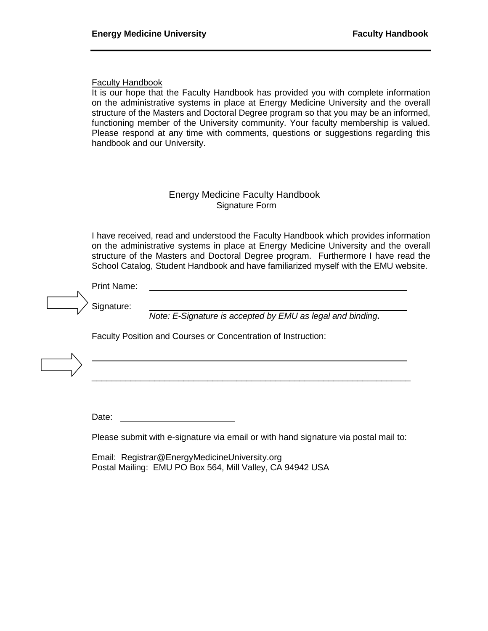#### Faculty Handbook

It is our hope that the Faculty Handbook has provided you with complete information on the administrative systems in place at Energy Medicine University and the overall structure of the Masters and Doctoral Degree program so that you may be an informed, functioning member of the University community. Your faculty membership is valued. Please respond at any time with comments, questions or suggestions regarding this handbook and our University.

#### Energy Medicine Faculty Handbook Signature Form

I have received, read and understood the Faculty Handbook which provides information on the administrative systems in place at Energy Medicine University and the overall structure of the Masters and Doctoral Degree program. Furthermore I have read the School Catalog, Student Handbook and have familiarized myself with the EMU website.

|                                                               | Print Name: |                                                            |
|---------------------------------------------------------------|-------------|------------------------------------------------------------|
|                                                               | Signature:  | Note: E-Signature is accepted by EMU as legal and binding. |
| Faculty Position and Courses or Concentration of Instruction: |             |                                                            |

Date: **Date: Date: Date: Date: Date: Date: Date: Date: Date: Date: Date: Date: Date: Date: Date: Date: Date: Date: Date: Date: Date: Date: Date: Date: Date: Date: Date:**

Please submit with e-signature via email or with hand signature via postal mail to:

\_\_\_\_\_\_\_\_\_\_\_\_\_\_\_\_\_\_\_\_\_\_\_\_\_\_\_\_\_\_\_\_\_\_\_\_\_\_\_\_\_\_\_\_\_\_\_\_\_\_\_\_\_\_\_\_\_\_\_\_\_\_\_\_\_\_

Email: Registrar@EnergyMedicineUniversity.org Postal Mailing: EMU PO Box 564, Mill Valley, CA 94942 USA